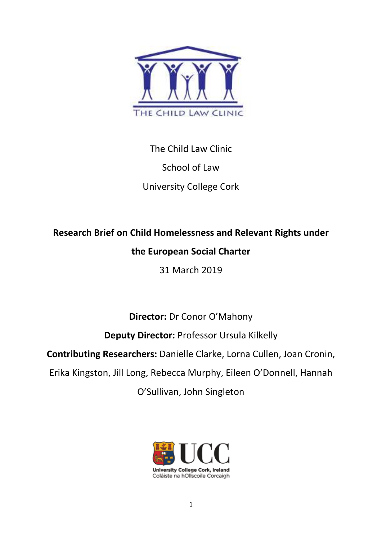

The Child Law Clinic School of Law University College Cork

# **Research Brief on Child Homelessness and Relevant Rights under**

# **the European Social Charter**

31 March 2019

**Director:** Dr Conor O'Mahony **Deputy Director:** Professor Ursula Kilkelly **Contributing Researchers:** Danielle Clarke, Lorna Cullen, Joan Cronin, Erika Kingston, Jill Long, Rebecca Murphy, Eileen O'Donnell, Hannah O'Sullivan, John Singleton

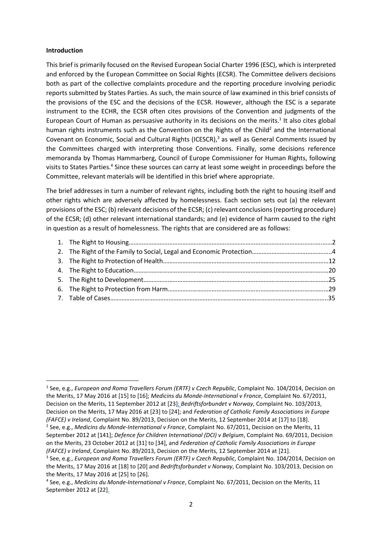#### **Introduction**

.<br>-

This brief is primarily focused on the Revised European Social Charter 1996 (ESC), which is interpreted and enforced by the European Committee on Social Rights (ECSR). The Committee delivers decisions both as part of the collective complaints procedure and the reporting procedure involving periodic reports submitted by States Parties. As such, the main source of law examined in this brief consists of the provisions of the ESC and the decisions of the ECSR. However, although the ESC is a separate instrument to the ECHR, the ECSR often cites provisions of the Convention and judgments of the European Court of Human as persuasive authority in its decisions on the merits.<sup>1</sup> It also cites global human rights instruments such as the Convention on the Rights of the Child<sup>2</sup> and the International Covenant on Economic, Social and Cultural Rights (ICESCR), $3$  as well as General Comments issued by the Committees charged with interpreting those Conventions. Finally, some decisions reference memoranda by Thomas Hammarberg, Council of Europe Commissioner for Human Rights, following visits to States Parties.<sup>4</sup> Since these sources can carry at least some weight in proceedings before the Committee, relevant materials will be identified in this brief where appropriate.

The brief addresses in turn a number of relevant rights, including both the right to housing itself and other rights which are adversely affected by homelessness. Each section sets out (a) the relevant provisions of the ESC; (b) relevant decisions of the ECSR; (c) relevant conclusions (reporting procedure) of the ECSR; (d) other relevant international standards; and (e) evidence of harm caused to the right in question as a result of homelessness. The rights that are considered are as follows:

<sup>&</sup>lt;sup>1</sup> See, e.g., *European and Roma Travellers Forum (ERTF) v Czech Republic*, Complaint No. 104/2014, Decision on the Merits, 17 May 2016 at [15] to [16]; *Medicins du Monde-International v France*, Complaint No. 67/2011, Decision on the Merits, 11 September 2012 at [23]; *Bedriftsforbundet v Norway*, Complaint No. 103/2013, Decision on the Merits, 17 May 2016 at [23] to [24]; and *Federation of Catholic Family Associations in Europe (FAFCE) v Ireland*, Complaint No. 89/2013, Decision on the Merits, 12 September 2014 at [17] to [18].

<sup>2</sup> See, e.g., *Medicins du Monde-International v France*, Complaint No. 67/2011, Decision on the Merits, 11 September 2012 at [141]; *Defence for Children International (DCI) v Belgium*, Complaint No. 69/2011, Decision on the Merits, 23 October 2012 at [31] to [34], and *Federation of Catholic Family Associations in Europe (FAFCE) v Ireland*, Complaint No. 89/2013, Decision on the Merits, 12 September 2014 at [21].

<sup>3</sup> See, e.g., *European and Roma Travellers Forum (ERTF) v Czech Republic*, Complaint No. 104/2014, Decision on the Merits, 17 May 2016 at [18] to [20] and *Bedriftsforbundet v Norway*, Complaint No. 103/2013, Decision on the Merits, 17 May 2016 at [25] to [26].

<sup>4</sup> See, e.g., *Medicins du Monde-International v France*, Complaint No. 67/2011, Decision on the Merits, 11 September 2012 at [22].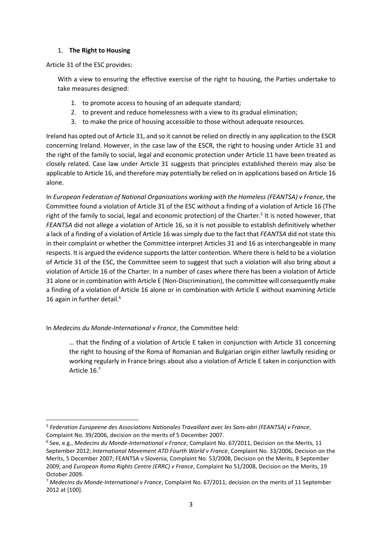#### 1. **The Right to Housing**

Article 31 of the ESC provides:

<u>.</u>

With a view to ensuring the effective exercise of the right to housing, the Parties undertake to take measures designed:

- 1. to promote access to housing of an adequate standard;
- 2. to prevent and reduce homelessness with a view to its gradual elimination;
- 3. to make the price of housing accessible to those without adequate resources.

Ireland has opted out of Article 31, and so it cannot be relied on directly in any application to the ESCR concerning Ireland. However, in the case law of the ESCR, the right to housing under Article 31 and the right of the family to social, legal and economic protection under Article 11 have been treated as closely related. Case law under Article 31 suggests that principles established therein may also be applicable to Article 16, and therefore may potentially be relied on in applications based on Article 16 alone.

In *European Federation of National Organisations working with the Homeless (FEANTSA) v France*, the Committee found a violation of Article 31 of the ESC without a finding of a violation of Article 16 (The right of the family to social, legal and economic protection) of the Charter.<sup>5</sup> It is noted however, that *FEANTSA* did not allege a violation of Article 16, so it is not possible to establish definitively whether a lack of a finding of a violation of Article 16 was simply due to the fact that *FEANTSA* did not state this in their complaint or whether the Committee interpret Articles 31 and 16 as interchangeable in many respects. It is argued the evidence supports the latter contention. Where there is held to be a violation of Article 31 of the ESC, the Committee seem to suggest that such a violation will also bring about a violation of Article 16 of the Charter. In a number of cases where there has been a violation of Article 31 alone or in combination with Article E (Non-Discrimination), the committee will consequently make a finding of a violation of Article 16 alone or in combination with Article E without examining Article 16 again in further detail.<sup>6</sup>

# In *Medecins du Monde-International v France*, the Committee held:

… that the finding of a violation of Article E taken in conjunction with Article 31 concerning the right to housing of the Roma of Romanian and Bulgarian origin either lawfully residing or working regularly in France brings about also a violation of Article E taken in conjunction with Article 16.<sup>7</sup>

<sup>5</sup> *Federation Europeene des Associations Nationales Travaillant avec les Sans-abri (FEANTSA) v France*, Complaint No. 39/2006, decision on the merits of 5 December 2007.

<sup>6</sup> See, e.g., *Medecins du Monde-International v France*, Complaint No. 67/2011, Decision on the Merits, 11 September 2012; *International Movement ATD Fourth World v France*, Complaint No. 33/2006, Decision on the Merits, 5 December 2007; FEANTSA v Slovenia, Complaint No. 53/2008, Decision on the Merits, 8 September 2009; and *European Roma Rights Centre (ERRC) v France*, Complaint No 51/2008, Decision on the Merits, 19 October 2009.

<sup>7</sup> *Medecins du Monde-International v France*, Complaint No. 67/2011, decision on the merits of 11 September 2012 at [100].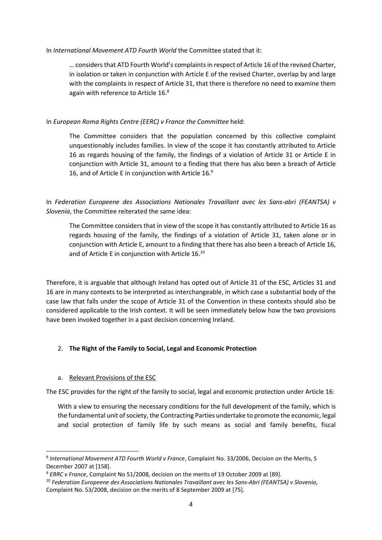#### In *International Movement ATD Fourth World* the Committee stated that it:

… considers that ATD Fourth World's complaints in respect of Article 16 of the revised Charter, in isolation or taken in conjunction with Article E of the revised Charter, overlap by and large with the complaints in respect of Article 31, that there is therefore no need to examine them again with reference to Article 16.<sup>8</sup>

# In *European Roma Rights Centre (EERC) v France the Committee* held:

The Committee considers that the population concerned by this collective complaint unquestionably includes families. In view of the scope it has constantly attributed to Article 16 as regards housing of the family, the findings of a violation of Article 31 or Article E in conjunction with Article 31, amount to a finding that there has also been a breach of Article 16, and of Article E in conjunction with Article 16. 9

In *Federation Europeene des Associations Nationales Travaillant avec les Sans-abri (FEANTSA) v Slovenia*, the Committee reiterated the same idea:

The Committee considers that in view of the scope it has constantly attributed to Article 16 as regards housing of the family, the findings of a violation of Article 31, taken alone or in conjunction with Article E, amount to a finding that there has also been a breach of Article 16, and of Article E in conjunction with Article 16.<sup>10</sup>

Therefore, it is arguable that although Ireland has opted out of Article 31 of the ESC, Articles 31 and 16 are in many contexts to be interpreted as interchangeable, in which case a substantial body of the case law that falls under the scope of Article 31 of the Convention in these contexts should also be considered applicable to the Irish context. It will be seen immediately below how the two provisions have been invoked together in a past decision concerning Ireland.

# 2. **The Right of the Family to Social, Legal and Economic Protection**

# a. Relevant Provisions of the ESC

<u>.</u>

The ESC provides for the right of the family to social, legal and economic protection under Article 16:

With a view to ensuring the necessary conditions for the full development of the family, which is the fundamental unit of society, the Contracting Parties undertake to promote the economic, legal and social protection of family life by such means as social and family benefits, fiscal

<sup>8</sup> *International Movement ATD Fourth World v France*, Complaint No. 33/2006, Decision on the Merits, 5 December 2007 at [158].

<sup>9</sup> *ERRC v France*, Complaint No 51/2008, decision on the merits of 19 October 2009 at [89].

<sup>10</sup> *Federation Europeene des Associations Nationales Travaillant avec les Sans-Abri (FEANTSA) v Slovenia*, Complaint No. 53/2008, decision on the merits of 8 September 2009 at [75].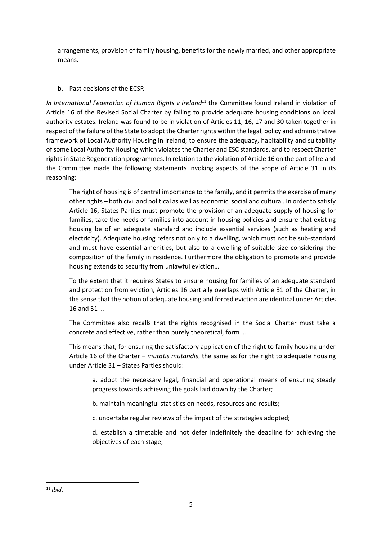arrangements, provision of family housing, benefits for the newly married, and other appropriate means.

# b. Past decisions of the ECSR

*In International Federation of Human Rights v Ireland<sup>11</sup> the Committee found Ireland in violation of* Article 16 of the Revised Social Charter by failing to provide adequate housing conditions on local authority estates. Ireland was found to be in violation of Articles 11, 16, 17 and 30 taken together in respect of the failure of the State to adopt the Charter rights within the legal, policy and administrative framework of Local Authority Housing in Ireland; to ensure the adequacy, habitability and suitability of some Local Authority Housing which violates the Charter and ESC standards, and to respect Charter rights in State Regeneration programmes. In relation to the violation of Article 16 on the part of Ireland the Committee made the following statements invoking aspects of the scope of Article 31 in its reasoning:

The right of housing is of central importance to the family, and it permits the exercise of many other rights – both civil and political as well as economic, social and cultural. In order to satisfy Article 16, States Parties must promote the provision of an adequate supply of housing for families, take the needs of families into account in housing policies and ensure that existing housing be of an adequate standard and include essential services (such as heating and electricity). Adequate housing refers not only to a dwelling, which must not be sub-standard and must have essential amenities, but also to a dwelling of suitable size considering the composition of the family in residence. Furthermore the obligation to promote and provide housing extends to security from unlawful eviction…

To the extent that it requires States to ensure housing for families of an adequate standard and protection from eviction, Articles 16 partially overlaps with Article 31 of the Charter, in the sense that the notion of adequate housing and forced eviction are identical under Articles 16 and 31 …

The Committee also recalls that the rights recognised in the Social Charter must take a concrete and effective, rather than purely theoretical, form …

This means that, for ensuring the satisfactory application of the right to family housing under Article 16 of the Charter – *mutatis mutandis*, the same as for the right to adequate housing under Article 31 – States Parties should:

a. adopt the necessary legal, financial and operational means of ensuring steady progress towards achieving the goals laid down by the Charter;

b. maintain meaningful statistics on needs, resources and results;

c. undertake regular reviews of the impact of the strategies adopted;

d. establish a timetable and not defer indefinitely the deadline for achieving the objectives of each stage;

<sup>11</sup> *Ibid*.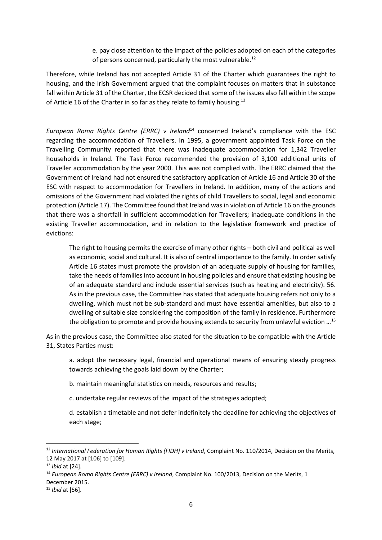e. pay close attention to the impact of the policies adopted on each of the categories of persons concerned, particularly the most vulnerable.<sup>12</sup>

Therefore, while Ireland has not accepted Article 31 of the Charter which guarantees the right to housing, and the Irish Government argued that the complaint focuses on matters that in substance fall within Article 31 of the Charter, the ECSR decided that some of the issues also fall within the scope of Article 16 of the Charter in so far as they relate to family housing.<sup>13</sup>

*European Roma Rights Centre (ERRC) v Ireland*<sup>14</sup> concerned Ireland's compliance with the ESC regarding the accommodation of Travellers. In 1995, a government appointed Task Force on the Travelling Community reported that there was inadequate accommodation for 1,342 Traveller households in Ireland. The Task Force recommended the provision of 3,100 additional units of Traveller accommodation by the year 2000. This was not complied with. The ERRC claimed that the Government of Ireland had not ensured the satisfactory application of Article 16 and Article 30 of the ESC with respect to accommodation for Travellers in Ireland. In addition, many of the actions and omissions of the Government had violated the rights of child Travellers to social, legal and economic protection (Article 17). The Committee found that Ireland was in violation of Article 16 on the grounds that there was a shortfall in sufficient accommodation for Travellers; inadequate conditions in the existing Traveller accommodation, and in relation to the legislative framework and practice of evictions:

The right to housing permits the exercise of many other rights – both civil and political as well as economic, social and cultural. It is also of central importance to the family. In order satisfy Article 16 states must promote the provision of an adequate supply of housing for families, take the needs of families into account in housing policies and ensure that existing housing be of an adequate standard and include essential services (such as heating and electricity). 56. As in the previous case, the Committee has stated that adequate housing refers not only to a dwelling, which must not be sub-standard and must have essential amenities, but also to a dwelling of suitable size considering the composition of the family in residence. Furthermore the obligation to promote and provide housing extends to security from unlawful eviction ...<sup>15</sup>

As in the previous case, the Committee also stated for the situation to be compatible with the Article 31, States Parties must:

a. adopt the necessary legal, financial and operational means of ensuring steady progress towards achieving the goals laid down by the Charter;

b. maintain meaningful statistics on needs, resources and results;

c. undertake regular reviews of the impact of the strategies adopted;

d. establish a timetable and not defer indefinitely the deadline for achieving the objectives of each stage;

<sup>&</sup>lt;sup>12</sup> International Federation for Human Rights (FIDH) v Ireland, Complaint No. 110/2014, Decision on the Merits, 12 May 2017 at [106] to [109].

<sup>13</sup> *Ibid* at [24].

<sup>14</sup> *European Roma Rights Centre (ERRC) v Ireland*, Complaint No. 100/2013, Decision on the Merits, 1 December 2015.

<sup>15</sup> *Ibid* at [56].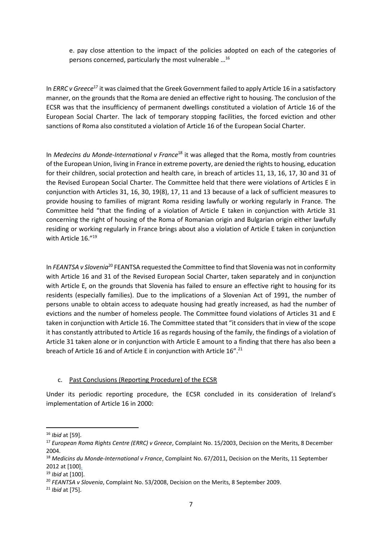e. pay close attention to the impact of the policies adopted on each of the categories of persons concerned, particularly the most vulnerable …<sup>16</sup>

In *ERRC v Greece*<sup>17</sup> it was claimed that the Greek Government failed to apply Article 16 in a satisfactory manner, on the grounds that the Roma are denied an effective right to housing. The conclusion of the ECSR was that the insufficiency of permanent dwellings constituted a violation of Article 16 of the European Social Charter. The lack of temporary stopping facilities, the forced eviction and other sanctions of Roma also constituted a violation of Article 16 of the European Social Charter.

In *Medecins du Monde-International v France*<sup>18</sup> it was alleged that the Roma, mostly from countries of the European Union, living in France in extreme poverty, are denied the rights to housing, education for their children, social protection and health care, in breach of articles 11, 13, 16, 17, 30 and 31 of the Revised European Social Charter. The Committee held that there were violations of Articles E in conjunction with Articles 31, 16, 30, 19(8), 17, 11 and 13 because of a lack of sufficient measures to provide housing to families of migrant Roma residing lawfully or working regularly in France. The Committee held "that the finding of a violation of Article E taken in conjunction with Article 31 concerning the right of housing of the Roma of Romanian origin and Bulgarian origin either lawfully residing or working regularly in France brings about also a violation of Article E taken in conjunction with Article 16."<sup>19</sup>

In *FEANTSA v Slovenia*<sup>20</sup> FEANTSA requested the Committee to find that Slovenia was not in conformity with Article 16 and 31 of the Revised European Social Charter, taken separately and in conjunction with Article E, on the grounds that Slovenia has failed to ensure an effective right to housing for its residents (especially families). Due to the implications of a Slovenian Act of 1991, the number of persons unable to obtain access to adequate housing had greatly increased, as had the number of evictions and the number of homeless people. The Committee found violations of Articles 31 and E taken in conjunction with Article 16. The Committee stated that "it considers that in view of the scope it has constantly attributed to Article 16 as regards housing of the family, the findings of a violation of Article 31 taken alone or in conjunction with Article E amount to a finding that there has also been a breach of Article 16 and of Article E in conjunction with Article 16".<sup>21</sup>

#### c. Past Conclusions (Reporting Procedure) of the ECSR

Under its periodic reporting procedure, the ECSR concluded in its consideration of Ireland's implementation of Article 16 in 2000:

<sup>16</sup> *Ibid* at [59].

<sup>17</sup> *European Roma Rights Centre (ERRC) v Greece*, Complaint No. 15/2003, Decision on the Merits, 8 December 2004.

<sup>18</sup> *Medicins du Monde-International v France*, Complaint No. 67/2011, Decision on the Merits, 11 September 2012 at [100].

<sup>19</sup> *Ibid* at [100].

<sup>20</sup> *FEANTSA v Slovenia*, Complaint No. 53/2008, Decision on the Merits, 8 September 2009.

<sup>21</sup> *Ibid* at [75].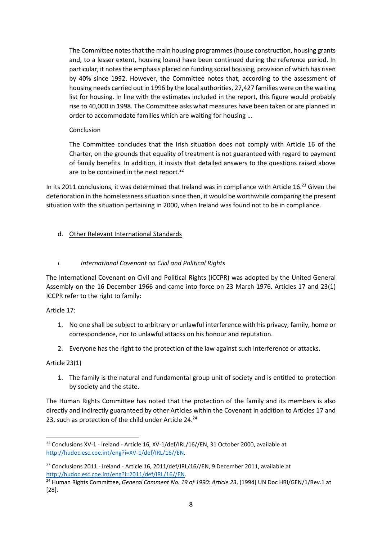The Committee notes that the main housing programmes (house construction, housing grants and, to a lesser extent, housing loans) have been continued during the reference period. In particular, it notes the emphasis placed on funding social housing, provision of which has risen by 40% since 1992. However, the Committee notes that, according to the assessment of housing needs carried out in 1996 by the local authorities, 27,427 families were on the waiting list for housing. In line with the estimates included in the report, this figure would probably rise to 40,000 in 1998. The Committee asks what measures have been taken or are planned in order to accommodate families which are waiting for housing …

#### Conclusion

The Committee concludes that the Irish situation does not comply with Article 16 of the Charter, on the grounds that equality of treatment is not guaranteed with regard to payment of family benefits. In addition, it insists that detailed answers to the questions raised above are to be contained in the next report.<sup>22</sup>

In its 2011 conclusions, it was determined that Ireland was in compliance with Article 16.<sup>23</sup> Given the deterioration in the homelessness situation since then, it would be worthwhile comparing the present situation with the situation pertaining in 2000, when Ireland was found not to be in compliance.

# d. Other Relevant International Standards

# *i. International Covenant on Civil and Political Rights*

The International Covenant on Civil and Political Rights (ICCPR) was adopted by the United General Assembly on the 16 December 1966 and came into force on 23 March 1976. Articles 17 and 23(1) ICCPR refer to the right to family:

Article 17:

- 1. No one shall be subject to arbitrary or unlawful interference with his privacy, family, home or correspondence, nor to unlawful attacks on his honour and reputation.
- 2. Everyone has the right to the protection of the law against such interference or attacks.

# Article 23(1)

.<br>-

1. The family is the natural and fundamental group unit of society and is entitled to protection by society and the state.

The Human Rights Committee has noted that the protection of the family and its members is also directly and indirectly guaranteed by other Articles within the Covenant in addition to Articles 17 and 23, such as protection of the child under Article 24.<sup>24</sup>

<sup>&</sup>lt;sup>22</sup> Conclusions XV-1 - Ireland - Article 16, XV-1/def/IRL/16//EN, 31 October 2000, available at http://hudoc.esc.coe.int/eng?i=XV-1/def/IRL/16//EN.

<sup>&</sup>lt;sup>23</sup> Conclusions 2011 - Ireland - Article 16, 2011/def/IRL/16//EN, 9 December 2011, available at http://hudoc.esc.coe.int/eng?i=2011/def/IRL/16//EN.

<sup>24</sup> Human Rights Committee, *General Comment No. 19 of 1990: Article 23*, (1994) UN Doc HRI/GEN/1/Rev.1 at [28].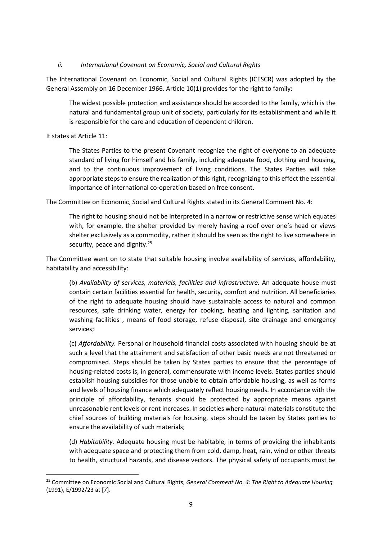#### *ii. International Covenant on Economic, Social and Cultural Rights*

The International Covenant on Economic, Social and Cultural Rights (ICESCR) was adopted by the General Assembly on 16 December 1966. Article 10(1) provides for the right to family:

The widest possible protection and assistance should be accorded to the family, which is the natural and fundamental group unit of society, particularly for its establishment and while it is responsible for the care and education of dependent children.

#### It states at Article 11:

-

The States Parties to the present Covenant recognize the right of everyone to an adequate standard of living for himself and his family, including adequate food, clothing and housing, and to the continuous improvement of living conditions. The States Parties will take appropriate steps to ensure the realization of this right, recognizing to this effect the essential importance of international co-operation based on free consent.

The Committee on Economic, Social and Cultural Rights stated in its General Comment No. 4:

The right to housing should not be interpreted in a narrow or restrictive sense which equates with, for example, the shelter provided by merely having a roof over one's head or views shelter exclusively as a commodity, rather it should be seen as the right to live somewhere in security, peace and dignity.<sup>25</sup>

The Committee went on to state that suitable housing involve availability of services, affordability, habitability and accessibility:

(b) *Availability of services, materials, facilities and infrastructure.* An adequate house must contain certain facilities essential for health, security, comfort and nutrition. All beneficiaries of the right to adequate housing should have sustainable access to natural and common resources, safe drinking water, energy for cooking, heating and lighting, sanitation and washing facilities , means of food storage, refuse disposal, site drainage and emergency services;

(c) *Affordability.* Personal or household financial costs associated with housing should be at such a level that the attainment and satisfaction of other basic needs are not threatened or compromised. Steps should be taken by States parties to ensure that the percentage of housing-related costs is, in general, commensurate with income levels. States parties should establish housing subsidies for those unable to obtain affordable housing, as well as forms and levels of housing finance which adequately reflect housing needs. In accordance with the principle of affordability, tenants should be protected by appropriate means against unreasonable rent levels or rent increases. In societies where natural materials constitute the chief sources of building materials for housing, steps should be taken by States parties to ensure the availability of such materials;

(d) *Habitability.* Adequate housing must be habitable, in terms of providing the inhabitants with adequate space and protecting them from cold, damp, heat, rain, wind or other threats to health, structural hazards, and disease vectors. The physical safety of occupants must be

<sup>25</sup> Committee on Economic Social and Cultural Rights, *General Comment No. 4: The Right to Adequate Housing* (1991), E/1992/23 at [7].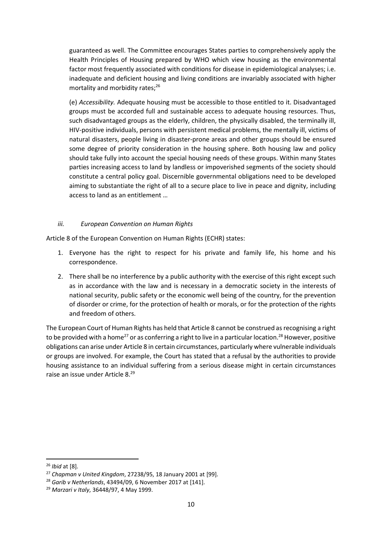guaranteed as well. The Committee encourages States parties to comprehensively apply the Health Principles of Housing prepared by WHO which view housing as the environmental factor most frequently associated with conditions for disease in epidemiological analyses; i.e. inadequate and deficient housing and living conditions are invariably associated with higher mortality and morbidity rates;<sup>26</sup>

(e) *Accessibility.* Adequate housing must be accessible to those entitled to it. Disadvantaged groups must be accorded full and sustainable access to adequate housing resources. Thus, such disadvantaged groups as the elderly, children, the physically disabled, the terminally ill, HIV-positive individuals, persons with persistent medical problems, the mentally ill, victims of natural disasters, people living in disaster-prone areas and other groups should be ensured some degree of priority consideration in the housing sphere. Both housing law and policy should take fully into account the special housing needs of these groups. Within many States parties increasing access to land by landless or impoverished segments of the society should constitute a central policy goal. Discernible governmental obligations need to be developed aiming to substantiate the right of all to a secure place to live in peace and dignity, including access to land as an entitlement …

#### *iii. European Convention on Human Rights*

Article 8 of the European Convention on Human Rights (ECHR) states:

- 1. Everyone has the right to respect for his private and family life, his home and his correspondence.
- 2. There shall be no interference by a public authority with the exercise of this right except such as in accordance with the law and is necessary in a democratic society in the interests of national security, public safety or the economic well being of the country, for the prevention of disorder or crime, for the protection of health or morals, or for the protection of the rights and freedom of others.

The European Court of Human Rights has held that Article 8 cannot be construed as recognising a right to be provided with a home<sup>27</sup> or as conferring a right to live in a particular location.<sup>28</sup> However, positive obligations can arise under Article 8 in certain circumstances, particularly where vulnerable individuals or groups are involved. For example, the Court has stated that a refusal by the authorities to provide housing assistance to an individual suffering from a serious disease might in certain circumstances raise an issue under Article 8.<sup>29</sup>

<sup>26</sup> *Ibid* at [8].

<sup>27</sup> *Chapman v United Kingdom*, 27238/95, 18 January 2001 at [99].

<sup>28</sup> *Garib v Netherlands*, 43494/09, 6 November 2017 at [141].

<sup>29</sup> *Marzari v Italy*, 36448/97, 4 May 1999.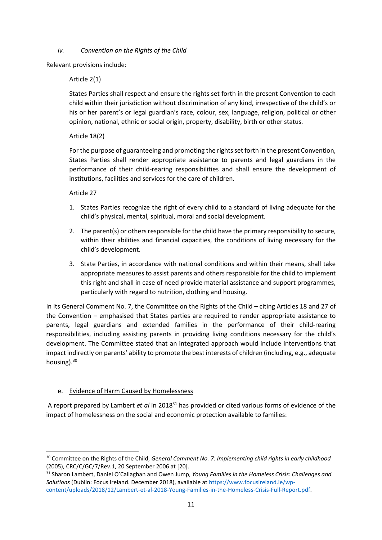#### *iv. Convention on the Rights of the Child*

Relevant provisions include:

Article 2(1)

States Parties shall respect and ensure the rights set forth in the present Convention to each child within their jurisdiction without discrimination of any kind, irrespective of the child's or his or her parent's or legal guardian's race, colour, sex, language, religion, political or other opinion, national, ethnic or social origin, property, disability, birth or other status.

# Article 18(2)

For the purpose of guaranteeing and promoting the rights set forth in the present Convention, States Parties shall render appropriate assistance to parents and legal guardians in the performance of their child-rearing responsibilities and shall ensure the development of institutions, facilities and services for the care of children.

#### Article 27

<u>.</u>

- 1. States Parties recognize the right of every child to a standard of living adequate for the child's physical, mental, spiritual, moral and social development.
- 2. The parent(s) or others responsible for the child have the primary responsibility to secure, within their abilities and financial capacities, the conditions of living necessary for the child's development.
- 3. State Parties, in accordance with national conditions and within their means, shall take appropriate measures to assist parents and others responsible for the child to implement this right and shall in case of need provide material assistance and support programmes, particularly with regard to nutrition, clothing and housing.

In its General Comment No. 7, the Committee on the Rights of the Child – citing Articles 18 and 27 of the Convention – emphasised that States parties are required to render appropriate assistance to parents, legal guardians and extended families in the performance of their child**-**rearing responsibilities, including assisting parents in providing living conditions necessary for the child's development. The Committee stated that an integrated approach would include interventions that impact indirectly on parents' ability to promote the best interests of children (including, e.g., adequate housing).<sup>30</sup>

# e. Evidence of Harm Caused by Homelessness

 A report prepared by Lambert *et al* in 2018<sup>31</sup> has provided or cited various forms of evidence of the impact of homelessness on the social and economic protection available to families:

<sup>30</sup> Committee on the Rights of the Child, *General Comment No. 7: Implementing child rights in early childhood* (2005), CRC/C/GC/7/Rev.1, 20 September 2006 at [20].

<sup>31</sup> Sharon Lambert, Daniel O'Callaghan and Owen Jump, *Young Families in the Homeless Crisis: Challenges and Solutions* (Dublin: Focus Ireland. December 2018), available at https://www.focusireland.ie/wpcontent/uploads/2018/12/Lambert-et-al-2018-Young-Families-in-the-Homeless-Crisis-Full-Report.pdf.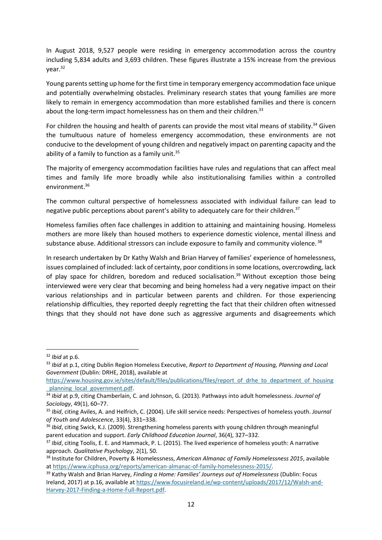In August 2018, 9,527 people were residing in emergency accommodation across the country including 5,834 adults and 3,693 children. These figures illustrate a 15% increase from the previous year.<sup>32</sup>

Young parents setting up home for the first time in temporary emergency accommodation face unique and potentially overwhelming obstacles. Preliminary research states that young families are more likely to remain in emergency accommodation than more established families and there is concern about the long-term impact homelessness has on them and their children.<sup>33</sup>

For children the housing and health of parents can provide the most vital means of stability. $34$  Given the tumultuous nature of homeless emergency accommodation, these environments are not conducive to the development of young children and negatively impact on parenting capacity and the ability of a family to function as a family unit. $35$ 

The majority of emergency accommodation facilities have rules and regulations that can affect meal times and family life more broadly while also institutionalising families within a controlled environment.<sup>36</sup>

The common cultural perspective of homelessness associated with individual failure can lead to negative public perceptions about parent's ability to adequately care for their children.<sup>37</sup>

Homeless families often face challenges in addition to attaining and maintaining housing. Homeless mothers are more likely than housed mothers to experience domestic violence, mental illness and substance abuse. Additional stressors can include exposure to family and community violence.  $38$ 

In research undertaken by Dr Kathy Walsh and Brian Harvey of families' experience of homelessness, issues complained of included: lack of certainty, poor conditions in some locations, overcrowding, lack of play space for children, boredom and reduced socialisation.<sup>39</sup> Without exception those being interviewed were very clear that becoming and being homeless had a very negative impact on their various relationships and in particular between parents and children. For those experiencing relationship difficulties, they reported deeply regretting the fact that their children often witnessed things that they should not have done such as aggressive arguments and disagreements which

<sup>32</sup> *Ibid* at p.6.

<sup>33</sup> *Ibid* at p.1, citing Dublin Region Homeless Executive, *Report to Department of Housing, Planning and Local Government* (Dublin: DRHE, 2018), available at

https://www.housing.gov.ie/sites/default/files/publications/files/report\_of\_drhe\_to\_department\_of\_housing planning local government.pdf.

<sup>34</sup> *Ibid* at p.9, citing Chamberlain, C. and Johnson, G. (2013). Pathways into adult homelessness. *Journal of Sociology*, 49(1), 60–77.

<sup>35</sup> *Ibid*, citing Aviles, A. and Helfrich, C. (2004). Life skill service needs: Perspectives of homeless youth. *Journal of Youth and Adolescence*, 33(4), 331–338.

<sup>36</sup> *Ibid*, citing Swick, K.J. (2009). Strengthening homeless parents with young children through meaningful parent education and support. *Early Childhood Education Journal*, 36(4), 327–332.

<sup>&</sup>lt;sup>37</sup> Ibid, citing Toolis, E. E. and Hammack, P. L. (2015). The lived experience of homeless youth: A narrative approach. *Qualitative Psychology*, 2(1), 50.

<sup>38</sup> Institute for Children, Poverty & Homelessness, *American Almanac of Family Homelessness 2015*, available at https://www.icphusa.org/reports/american-almanac-of-family-homelessness-2015/.

<sup>39</sup> Kathy Walsh and Brian Harvey, *Finding a Home: Families' Journeys out of Homelessness* (Dublin: Focus Ireland, 2017) at p.16, available at https://www.focusireland.ie/wp-content/uploads/2017/12/Walsh-and-Harvey-2017-Finding-a-Home-Full-Report.pdf.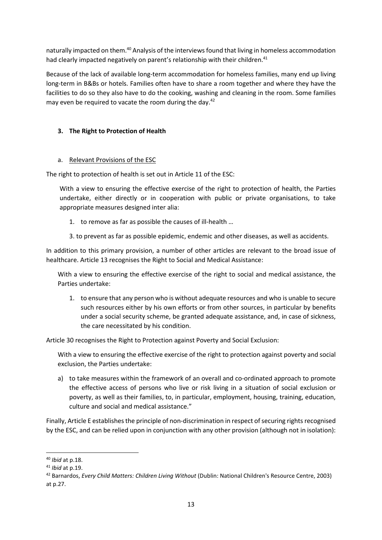naturally impacted on them.<sup>40</sup> Analysis of the interviews found that living in homeless accommodation had clearly impacted negatively on parent's relationship with their children.<sup>41</sup>

Because of the lack of available long-term accommodation for homeless families, many end up living long-term in B&Bs or hotels. Families often have to share a room together and where they have the facilities to do so they also have to do the cooking, washing and cleaning in the room. Some families may even be required to vacate the room during the day.<sup>42</sup>

# **3. The Right to Protection of Health**

# a. Relevant Provisions of the ESC

The right to protection of health is set out in Article 11 of the ESC:

With a view to ensuring the effective exercise of the right to protection of health, the Parties undertake, either directly or in cooperation with public or private organisations, to take appropriate measures designed inter alia:

- 1. to remove as far as possible the causes of ill-health …
- 3. to prevent as far as possible epidemic, endemic and other diseases, as well as accidents.

In addition to this primary provision, a number of other articles are relevant to the broad issue of healthcare. Article 13 recognises the Right to Social and Medical Assistance:

With a view to ensuring the effective exercise of the right to social and medical assistance, the Parties undertake:

1. to ensure that any person who is without adequate resources and who is unable to secure such resources either by his own efforts or from other sources, in particular by benefits under a social security scheme, be granted adequate assistance, and, in case of sickness, the care necessitated by his condition.

Article 30 recognises the Right to Protection against Poverty and Social Exclusion:

With a view to ensuring the effective exercise of the right to protection against poverty and social exclusion, the Parties undertake:

a) to take measures within the framework of an overall and co-ordinated approach to promote the effective access of persons who live or risk living in a situation of social exclusion or poverty, as well as their families, to, in particular, employment, housing, training, education, culture and social and medical assistance."

Finally, Article E establishes the principle of non-discrimination in respect of securing rights recognised by the ESC, and can be relied upon in conjunction with any other provision (although not in isolation):

.<br>-

<sup>40</sup> *Ibid* at p.18.

<sup>41</sup> *Ibid* at p.19.

<sup>42</sup> Barnardos, *Every Child Matters: Children Living Without* (Dublin: National Children's Resource Centre, 2003) at p.27.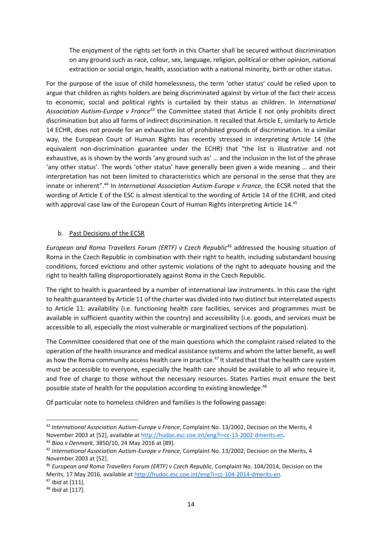The enjoyment of the rights set forth in this Charter shall be secured without discrimination on any ground such as race, colour, sex, language, religion, political or other opinion, national extraction or social origin, health, association with a national minority, birth or other status.

For the purpose of the issue of child homelessness, the term 'other status' could be relied upon to argue that children as rights holders are being discriminated against by virtue of the fact their access to economic, social and political rights is curtailed by their status as children. In *International Association Autism-Europe v France*<sup>43</sup> the Committee stated that Article E not only prohibits direct discrimination but also all forms of indirect discrimination. It recalled that Article E, similarly to Article 14 ECHR, does not provide for an exhaustive list of prohibited grounds of discrimination. In a similar way, the European Court of Human Rights has recently stressed in interpreting Article 14 (the equivalent non-discrimination guarantee under the ECHR) that "the list is illustrative and not exhaustive, as is shown by the words 'any ground such as' … and the inclusion in the list of the phrase 'any other status'. The words 'other status' have generally been given a wide meaning … and their interpretation has not been limited to characteristics which are personal in the sense that they are innate or inherent".<sup>44</sup> In *International Association Autism-Europe v France*, the ECSR noted that the wording of Article E of the ESC is almost identical to the wording of Article 14 of the ECHR, and cited with approval case law of the European Court of Human Rights interpreting Article 14.<sup>45</sup>

# b. Past Decisions of the ECSR

*European and Roma Travellers Forum (ERTF) v Czech Republic*<sup>46</sup> addressed the housing situation of Roma in the Czech Republic in combination with their right to health, including substandard housing conditions, forced evictions and other systemic violations of the right to adequate housing and the right to health falling disproportionately against Roma in the Czech Republic.

The right to health is guaranteed by a number of international law instruments. In this case the right to health guaranteed by Article 11 of the charter was divided into two distinct but interrelated aspects to Article 11: availability (i.e. functioning health care facilities, services and programmes must be available in sufficient quantity within the country) and accessibility (i.e. goods, and services must be accessible to all, especially the most vulnerable or marginalized sections of the population).

The Committee considered that one of the main questions which the complaint raised related to the operation of the health insurance and medical assistance systems and whom the latter benefit, as well as how the Roma community access health care in practice.<sup>47</sup> It stated that that the health care system must be accessible to everyone, especially the health care should be available to all who require it, and free of charge to those without the necessary resources. States Parties must ensure the best possible state of health for the population according to existing knowledge.<sup>48</sup>

Of particular note to homeless children and families is the following passage:

<sup>43</sup> *International Association Autism-Europe v France*, Complaint No. 13/2002, Decision on the Merits, 4 November 2003 at [52], available at http://hudoc.esc.coe.int/eng?i=cc-13-2002-dmerits-en.

<sup>44</sup> *Biao v Denmark*, 3850/10, 24 May 2016 at [89].

<sup>45</sup> *International Association Autism-Europe v France*, Complaint No. 13/2002, Decision on the Merits, 4 November 2003 at [52].

<sup>46</sup> *European and Roma Travellers Forum (ERTF) v Czech Republic*, Complaint No. 104/2014, Decision on the Merits, 17 May 2016, available at http://hudoc.esc.coe.int/eng?i=cc-104-2014-dmerits-en.

<sup>47</sup> *Ibid* at [111].

<sup>48</sup> *Ibid* at [117].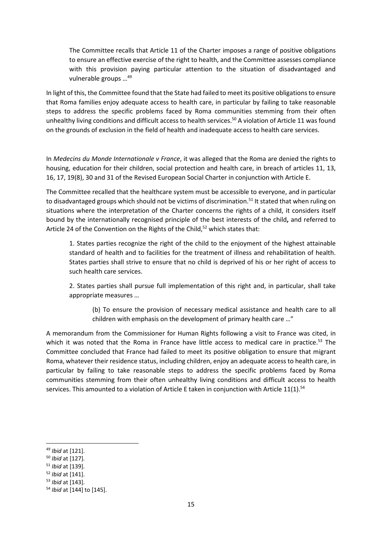The Committee recalls that Article 11 of the Charter imposes a range of positive obligations to ensure an effective exercise of the right to health, and the Committee assesses compliance with this provision paying particular attention to the situation of disadvantaged and vulnerable groups …<sup>49</sup>

In light of this, the Committee found that the State had failed to meet its positive obligations to ensure that Roma families enjoy adequate access to health care, in particular by failing to take reasonable steps to address the specific problems faced by Roma communities stemming from their often unhealthy living conditions and difficult access to health services.<sup>50</sup> A violation of Article 11 was found on the grounds of exclusion in the field of health and inadequate access to health care services.

In *Medecins du Monde Internationale v France*, it was alleged that the Roma are denied the rights to housing, education for their children, social protection and health care, in breach of articles 11, 13, 16, 17, 19(8), 30 and 31 of the Revised European Social Charter in conjunction with Article E.

The Committee recalled that the healthcare system must be accessible to everyone, and in particular to disadvantaged groups which should not be victims of discrimination.<sup>51</sup> It stated that when ruling on situations where the interpretation of the Charter concerns the rights of a child, it considers itself bound by the internationally recognised principle of the best interests of the child**,** and referred to Article 24 of the Convention on the Rights of the Child,<sup>52</sup> which states that:

1. States parties recognize the right of the child to the enjoyment of the highest attainable standard of health and to facilities for the treatment of illness and rehabilitation of health. States parties shall strive to ensure that no child is deprived of his or her right of access to such health care services.

2. States parties shall pursue full implementation of this right and, in particular, shall take appropriate measures …

(b) To ensure the provision of necessary medical assistance and health care to all children with emphasis on the development of primary health care …"

A memorandum from the Commissioner for Human Rights following a visit to France was cited, in which it was noted that the Roma in France have little access to medical care in practice.<sup>53</sup> The Committee concluded that France had failed to meet its positive obligation to ensure that migrant Roma, whatever their residence status, including children, enjoy an adequate access to health care, in particular by failing to take reasonable steps to address the specific problems faced by Roma communities stemming from their often unhealthy living conditions and difficult access to health services. This amounted to a violation of Article E taken in conjunction with Article 11(1).<sup>54</sup>

<sup>49</sup> *Ibid* at [121].

<sup>50</sup> *Ibid* at [127].

<sup>51</sup> *Ibid* at [139].

<sup>52</sup> *Ibid* at [141].

<sup>53</sup> *Ibid* at [143].

<sup>54</sup> *Ibid* at [144] to [145].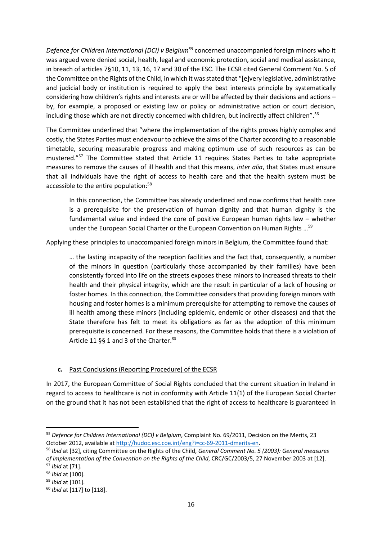*Defence for Children International (DCI) v Belgium<sup>55</sup>* concerned unaccompanied foreign minors who it was argued were denied social**,** health, legal and economic protection, social and medical assistance, in breach of articles 7§10, 11, 13, 16, 17 and 30 of the ESC. The ECSR cited General Comment No. 5 of the Committee on the Rights of the Child, in which it was stated that "[e]very legislative, administrative and judicial body or institution is required to apply the best interests principle by systematically considering how children's rights and interests are or will be affected by their decisions and actions – by, for example, a proposed or existing law or policy or administrative action or court decision, including those which are not directly concerned with children, but indirectly affect children".<sup>56</sup>

The Committee underlined that "where the implementation of the rights proves highly complex and costly, the States Parties must endeavour to achieve the aims of the Charter according to a reasonable timetable, securing measurable progress and making optimum use of such resources as can be mustered."<sup>57</sup> The Committee stated that Article 11 requires States Parties to take appropriate measures to remove the causes of ill health and that this means, *inter alia*, that States must ensure that all individuals have the right of access to health care and that the health system must be accessible to the entire population:<sup>58</sup>

In this connection, the Committee has already underlined and now confirms that health care is a prerequisite for the preservation of human dignity and that human dignity is the fundamental value and indeed the core of positive European human rights law – whether under the European Social Charter or the European Convention on Human Rights …<sup>59</sup>

Applying these principles to unaccompanied foreign minors in Belgium, the Committee found that:

… the lasting incapacity of the reception facilities and the fact that, consequently, a number of the minors in question (particularly those accompanied by their families) have been consistently forced into life on the streets exposes these minors to increased threats to their health and their physical integrity, which are the result in particular of a lack of housing or foster homes. In this connection, the Committee considers that providing foreign minors with housing and foster homes is a minimum prerequisite for attempting to remove the causes of ill health among these minors (including epidemic, endemic or other diseases) and that the State therefore has felt to meet its obligations as far as the adoption of this minimum prerequisite is concerned. For these reasons, the Committee holds that there is a violation of Article 11 §§ 1 and 3 of the Charter. $60$ 

# **c.** Past Conclusions (Reporting Procedure) of the ECSR

In 2017, the European Committee of Social Rights concluded that the current situation in Ireland in regard to access to healthcare is not in conformity with Article 11(1) of the European Social Charter on the ground that it has not been established that the right of access to healthcare is guaranteed in

<sup>55</sup> *Defence for Children International (DCI) v Belgium*, Complaint No. 69/2011, Decision on the Merits, 23 October 2012, available at http://hudoc.esc.coe.int/eng?i=cc-69-2011-dmerits-en.

<sup>56</sup> *Ibid* at [32], citing Committee on the Rights of the Child, *General Comment No. 5 (2003): General measures of implementation of the Convention on the Rights of the Child*, CRC/GC/2003/5, 27 November 2003 at [12].

<sup>57</sup> *Ibid* at [71].

<sup>58</sup> *Ibid* at [100].

<sup>59</sup> *Ibid* at [101].

<sup>60</sup> *Ibid* at [117] to [118].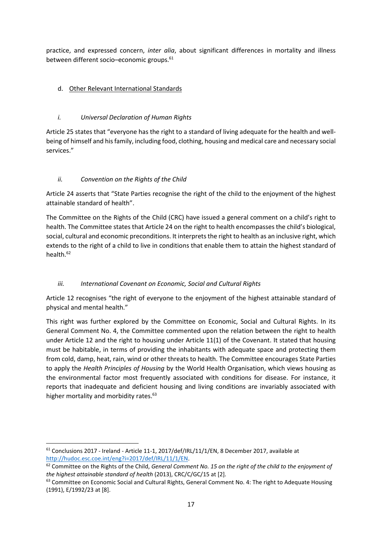practice, and expressed concern, *inter alia*, about significant differences in mortality and illness between different socio-economic groups.<sup>61</sup>

# d. Other Relevant International Standards

# *i. Universal Declaration of Human Rights*

Article 25 states that "everyone has the right to a standard of living adequate for the health and wellbeing of himself and his family, including food, clothing, housing and medical care and necessary social services."

# *ii. Convention on the Rights of the Child*

-

Article 24 asserts that "State Parties recognise the right of the child to the enjoyment of the highest attainable standard of health".

The Committee on the Rights of the Child (CRC) have issued a general comment on a child's right to health. The Committee states that Article 24 on the right to health encompasses the child's biological, social, cultural and economic preconditions. It interprets the right to health as an inclusive right, which extends to the right of a child to live in conditions that enable them to attain the highest standard of health.<sup>62</sup>

# *iii. International Covenant on Economic, Social and Cultural Rights*

Article 12 recognises "the right of everyone to the enjoyment of the highest attainable standard of physical and mental health."

This right was further explored by the Committee on Economic, Social and Cultural Rights. In its General Comment No. 4, the Committee commented upon the relation between the right to health under Article 12 and the right to housing under Article 11(1) of the Covenant. It stated that housing must be habitable, in terms of providing the inhabitants with adequate space and protecting them from cold, damp, heat, rain, wind or other threats to health. The Committee encourages State Parties to apply the *Health Principles of Housing* by the World Health Organisation, which views housing as the environmental factor most frequently associated with conditions for disease. For instance, it reports that inadequate and deficient housing and living conditions are invariably associated with higher mortality and morbidity rates.<sup>63</sup>

<sup>61</sup> Conclusions 2017 - Ireland - Article 11-1, 2017/def/IRL/11/1/EN, 8 December 2017, available at http://hudoc.esc.coe.int/eng?i=2017/def/IRL/11/1/EN.

<sup>62</sup> Committee on the Rights of the Child, *General Comment No. 15 on the right of the child to the enjoyment of the highest attainable standard of health* (2013), CRC/C/GC/15 at [2].

 $63$  Committee on Economic Social and Cultural Rights, General Comment No. 4: The right to Adequate Housing (1991), E/1992/23 at [8].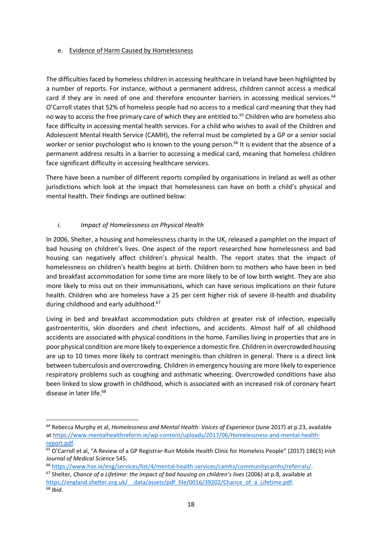#### e. Evidence of Harm Caused by Homelessness

The difficulties faced by homeless children in accessing healthcare in Ireland have been highlighted by a number of reports. For instance, without a permanent address, children cannot access a medical card if they are in need of one and therefore encounter barriers in accessing medical services. $64$ O'Carroll states that 52% of homeless people had no access to a medical card meaning that they had no way to access the free primary care of which they are entitled to.<sup>65</sup> Children who are homeless also face difficulty in accessing mental health services. For a child who wishes to avail of the Children and Adolescent Mental Health Service (CAMH), the referral must be completed by a GP or a senior social worker or senior psychologist who is known to the young person.<sup>66</sup> It is evident that the absence of a permanent address results in a barrier to accessing a medical card, meaning that homeless children face significant difficulty in accessing healthcare services.

There have been a number of different reports compiled by organisations in Ireland as well as other jurisdictions which look at the impact that homelessness can have on both a child's physical and mental health. Their findings are outlined below:

# *i. Impact of Homelessness on Physical Health*

<u>.</u>

In 2006, Shelter, a housing and homelessness charity in the UK, released a pamphlet on the impact of bad housing on children's lives. One aspect of the report researched how homelessness and bad housing can negatively affect children's physical health. The report states that the impact of homelessness on children's health begins at birth. Children born to mothers who have been in bed and breakfast accommodation for some time are more likely to be of low birth weight. They are also more likely to miss out on their immunisations, which can have serious implications on their future health. Children who are homeless have a 25 per cent higher risk of severe ill-health and disability during childhood and early adulthood.<sup>67</sup>

Living in bed and breakfast accommodation puts children at greater risk of infection, especially gastroenteritis, skin disorders and chest infections, and accidents. Almost half of all childhood accidents are associated with physical conditions in the home. Families living in properties that are in poor physical condition are more likely to experience a domestic fire. Children in overcrowded housing are up to 10 times more likely to contract meningitis than children in general. There is a direct link between tuberculosis and overcrowding. Children in emergency housing are more likely to experience respiratory problems such as coughing and asthmatic wheezing. Overcrowded conditions have also been linked to slow growth in childhood, which is associated with an increased risk of coronary heart disease in later life.<sup>68</sup>

<sup>64</sup> Rebecca Murphy et al, *Homelessness and Mental Health: Voices of Experience* (June 2017) at p.23, available at https://www.mentalhealthreform.ie/wp-content/uploads/2017/06/Homelessness-and-mental-healthreport.pdf.

<sup>65</sup> O'Carroll et al, "A Review of a GP Registrar-Run Mobile Health Clinic for Homeless People" (2017) 186(3) *Irish Journal of Medical Science* 545.

<sup>66</sup> https://www.hse.ie/eng/services/list/4/mental-health-services/camhs/communitycamhs/referrals/.

<sup>&</sup>lt;sup>67</sup> Shelter, *Chance of a Lifetime: the impact of bad housing on children's lives* (2006) at p.8, available at https://england.shelter.org.uk/\_\_data/assets/pdf\_file/0016/39202/Chance\_of\_a\_Lifetime.pdf. <sup>68</sup> *Ibid*.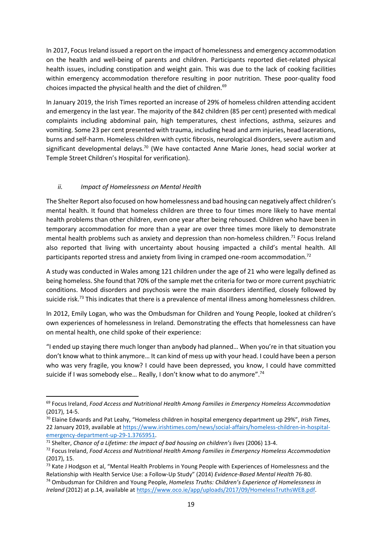In 2017, Focus Ireland issued a report on the impact of homelessness and emergency accommodation on the health and well-being of parents and children. Participants reported diet-related physical health issues, including constipation and weight gain. This was due to the lack of cooking facilities within emergency accommodation therefore resulting in poor nutrition. These poor-quality food choices impacted the physical health and the diet of children.<sup>69</sup>

In January 2019, the Irish Times reported an increase of 29% of homeless children attending accident and emergency in the last year. The majority of the 842 children (85 per cent) presented with medical complaints including abdominal pain, high temperatures, chest infections, asthma, seizures and vomiting. Some 23 per cent presented with trauma, including head and arm injuries, head lacerations, burns and self-harm. Homeless children with cystic fibrosis, neurological disorders, severe autism and significant developmental delays.<sup>70</sup> (We have contacted Anne Marie Jones, head social worker at Temple Street Children's Hospital for verification).

# *ii. Impact of Homelessness on Mental Health*

<u>.</u>

The Shelter Report also focused on how homelessness and bad housing can negatively affect children's mental health. It found that homeless children are three to four times more likely to have mental health problems than other children, even one year after being rehoused. Children who have been in temporary accommodation for more than a year are over three times more likely to demonstrate mental health problems such as anxiety and depression than non-homeless children.<sup>71</sup> Focus Ireland also reported that living with uncertainty about housing impacted a child's mental health. All participants reported stress and anxiety from living in cramped one-room accommodation.<sup>72</sup>

A study was conducted in Wales among 121 children under the age of 21 who were legally defined as being homeless. She found that 70% of the sample met the criteria for two or more current psychiatric conditions. Mood disorders and psychosis were the main disorders identified, closely followed by suicide risk.<sup>73</sup> This indicates that there is a prevalence of mental illness among homelessness children.

In 2012, Emily Logan, who was the Ombudsman for Children and Young People, looked at children's own experiences of homelessness in Ireland. Demonstrating the effects that homelessness can have on mental health, one child spoke of their experience:

"I ended up staying there much longer than anybody had planned… When you're in that situation you don't know what to think anymore… It can kind of mess up with your head. I could have been a person who was very fragile, you know? I could have been depressed, you know, I could have committed suicide if I was somebody else... Really, I don't know what to do anymore".<sup>74</sup>

<sup>69</sup> Focus Ireland, *Food Access and Nutritional Health Among Families in Emergency Homeless Accommodation*  (2017), 14-5.

<sup>70</sup> Elaine Edwards and Pat Leahy, "Homeless children in hospital emergency department up 29%", *Irish Times*, 22 January 2019, available at https://www.irishtimes.com/news/social-affairs/homeless-children-in-hospitalemergency-department-up-29-1.3765951.

<sup>&</sup>lt;sup>71</sup> Shelter, *Chance of a Lifetime: the impact of bad housing on children's lives* (2006) 13-4.

<sup>72</sup> Focus Ireland, *Food Access and Nutritional Health Among Families in Emergency Homeless Accommodation*  (2017), 15.

<sup>&</sup>lt;sup>73</sup> Kate J Hodgson et al, "Mental Health Problems in Young People with Experiences of Homelessness and the Relationship with Health Service Use: a Follow-Up Study" (2014) *Evidence-Based Mental Health* 76-80.

<sup>74</sup> Ombudsman for Children and Young People, *Homeless Truths: Children's Experience of Homelessness in Ireland* (2012) at p.14, available at https://www.oco.ie/app/uploads/2017/09/HomelessTruthsWEB.pdf.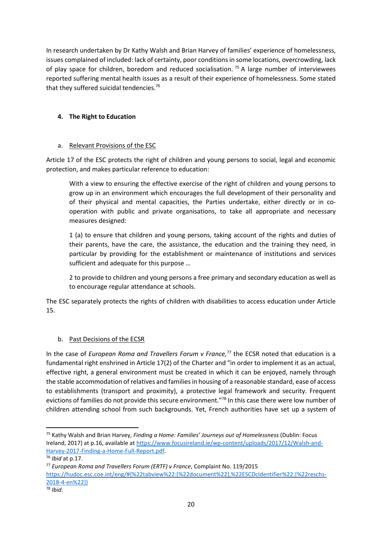In research undertaken by Dr Kathy Walsh and Brian Harvey of families' experience of homelessness, issues complained of included: lack of certainty, poor conditions in some locations, overcrowding, lack of play space for children, boredom and reduced socialisation.<sup>75</sup> A large number of interviewees reported suffering mental health issues as a result of their experience of homelessness. Some stated that they suffered suicidal tendencies.<sup>76</sup>

# **4. The Right to Education**

# a. Relevant Provisions of the ESC

Article 17 of the ESC protects the right of children and young persons to social, legal and economic protection, and makes particular reference to education:

With a view to ensuring the effective exercise of the right of children and young persons to grow up in an environment which encourages the full development of their personality and of their physical and mental capacities, the Parties undertake, either directly or in cooperation with public and private organisations, to take all appropriate and necessary measures designed:

1 (a) to ensure that children and young persons, taking account of the rights and duties of their parents, have the care, the assistance, the education and the training they need, in particular by providing for the establishment or maintenance of institutions and services sufficient and adequate for this purpose …

2 to provide to children and young persons a free primary and secondary education as well as to encourage regular attendance at schools.

The ESC separately protects the rights of children with disabilities to access education under Article 15.

# b. Past Decisions of the ECSR

In the case of *European Roma and Travellers Forum v France,*<sup>77</sup> the ECSR noted that education is a fundamental right enshrined in Article 17(2) of the Charter and "in order to implement it as an actual, effective right, a general environment must be created in which it can be enjoyed, namely through the stable accommodation of relatives and families in housing of a reasonable standard, ease of access to establishments (transport and proximity), a protective legal framework and security. Frequent evictions of families do not provide this secure environment."<sup>78</sup> In this case there were low number of children attending school from such backgrounds. Yet, French authorities have set up a system of

<sup>75</sup> Kathy Walsh and Brian Harvey, *Finding a Home: Families' Journeys out of Homelessness* (Dublin: Focus Ireland, 2017) at p.16, available at https://www.focusireland.ie/wp-content/uploads/2017/12/Walsh-and-Harvey-2017-Finding-a-Home-Full-Report.pdf.

<sup>76</sup> *Ibid* at p.17.

<sup>77</sup> *European Roma and Travellers Forum (ERTF) v France*, Complaint No. 119/2015 https://hudoc.esc.coe.int/eng/#{%22tabview%22:[%22document%22],%22ESCDcIdentifier%22:[%22reschs-2018-4-en%22]}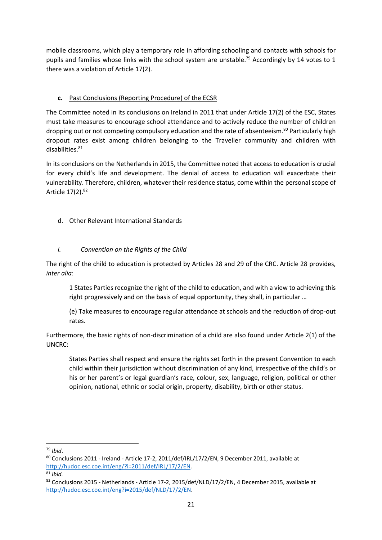mobile classrooms, which play a temporary role in affording schooling and contacts with schools for pupils and families whose links with the school system are unstable.<sup>79</sup> Accordingly by 14 votes to 1 there was a violation of Article 17(2).

# **c.** Past Conclusions (Reporting Procedure) of the ECSR

The Committee noted in its conclusions on Ireland in 2011 that under Article 17(2) of the ESC, States must take measures to encourage school attendance and to actively reduce the number of children dropping out or not competing compulsory education and the rate of absenteeism.<sup>80</sup> Particularly high dropout rates exist among children belonging to the Traveller community and children with  $disabilities.<sup>81</sup>$ 

In its conclusions on the Netherlands in 2015, the Committee noted that access to education is crucial for every child's life and development. The denial of access to education will exacerbate their vulnerability. Therefore, children, whatever their residence status, come within the personal scope of Article  $17(2).^{82}$ 

# d. Other Relevant International Standards

# *i. Convention on the Rights of the Child*

The right of the child to education is protected by Articles 28 and 29 of the CRC. Article 28 provides, *inter alia*:

1 States Parties recognize the right of the child to education, and with a view to achieving this right progressively and on the basis of equal opportunity, they shall, in particular …

(e) Take measures to encourage regular attendance at schools and the reduction of drop-out rates.

Furthermore, the basic rights of non-discrimination of a child are also found under Article 2(1) of the UNCRC:

States Parties shall respect and ensure the rights set forth in the present Convention to each child within their jurisdiction without discrimination of any kind, irrespective of the child's or his or her parent's or legal guardian's race, colour, sex, language, religion, political or other opinion, national, ethnic or social origin, property, disability, birth or other status.

<sup>79</sup> *Ibid*.

<sup>80</sup> Conclusions 2011 - Ireland - Article 17-2, 2011/def/IRL/17/2/EN, 9 December 2011, available at http://hudoc.esc.coe.int/eng/?i=2011/def/IRL/17/2/EN.

<sup>81</sup> *Ibid.*

<sup>82</sup> Conclusions 2015 - Netherlands - Article 17-2, 2015/def/NLD/17/2/EN, 4 December 2015, available at http://hudoc.esc.coe.int/eng?i=2015/def/NLD/17/2/EN.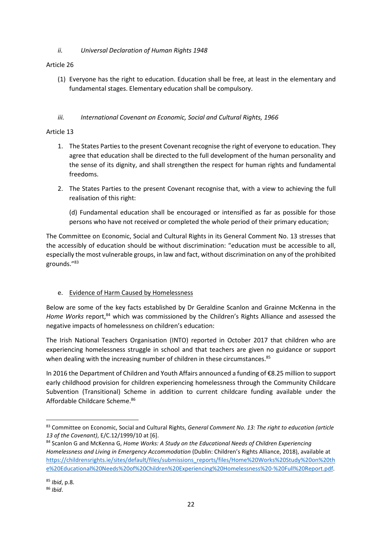# *ii. Universal Declaration of Human Rights 1948*

# Article 26

(1) Everyone has the right to education. Education shall be free, at least in the elementary and fundamental stages. Elementary education shall be compulsory.

# *iii. International Covenant on Economic, Social and Cultural Rights, 1966*

#### Article 13

- 1. The States Parties to the present Covenant recognise the right of everyone to education. They agree that education shall be directed to the full development of the human personality and the sense of its dignity, and shall strengthen the respect for human rights and fundamental freedoms.
- 2. The States Parties to the present Covenant recognise that, with a view to achieving the full realisation of this right:

(d) Fundamental education shall be encouraged or intensified as far as possible for those persons who have not received or completed the whole period of their primary education;

The Committee on Economic, Social and Cultural Rights in its General Comment No. 13 stresses that the accessibly of education should be without discrimination: "education must be accessible to all, especially the most vulnerable groups, in law and fact, without discrimination on any of the prohibited grounds."<sup>83</sup>

# e. Evidence of Harm Caused by Homelessness

Below are some of the key facts established by Dr Geraldine Scanlon and Grainne McKenna in the Home Works report,<sup>84</sup> which was commissioned by the Children's Rights Alliance and assessed the negative impacts of homelessness on children's education:

The Irish National Teachers Organisation (INTO) reported in October 2017 that children who are experiencing homelessness struggle in school and that teachers are given no guidance or support when dealing with the increasing number of children in these circumstances.<sup>85</sup>

In 2016 the Department of Children and Youth Affairs announced a funding of €8.25 million to support early childhood provision for children experiencing homelessness through the Community Childcare Subvention (Transitional) Scheme in addition to current childcare funding available under the Affordable Childcare Scheme.<sup>86</sup>

<sup>84</sup> Scanlon G and McKenna G, *Home Works: A Study on the Educational Needs of Children Experiencing Homelessness and Living in Emergency Accommodation* (Dublin: Children's Rights Alliance, 2018), available at https://childrensrights.ie/sites/default/files/submissions\_reports/files/Home%20Works%20Study%20on%20th e%20Educational%20Needs%20of%20Children%20Experiencing%20Homelessness%20-%20Full%20Report.pdf.

<sup>83</sup> Committee on Economic, Social and Cultural Rights, *General Comment No. 13: The right to education (article 13 of the Covenant)*, E/C.12/1999/10 at [6].

<sup>85</sup> *Ibid*, p.8. <sup>86</sup> *Ibid*.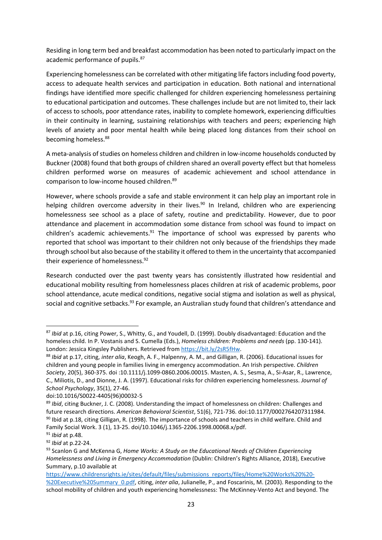Residing in long term bed and breakfast accommodation has been noted to particularly impact on the academic performance of pupils.<sup>87</sup>

Experiencing homelessness can be correlated with other mitigating life factors including food poverty, access to adequate health services and participation in education. Both national and international findings have identified more specific challenged for children experiencing homelessness pertaining to educational participation and outcomes. These challenges include but are not limited to, their lack of access to schools, poor attendance rates, inability to complete homework, experiencing difficulties in their continuity in learning, sustaining relationships with teachers and peers; experiencing high levels of anxiety and poor mental health while being placed long distances from their school on becoming homeless.<sup>88</sup>

A meta-analysis of studies on homeless children and children in low-income households conducted by Buckner (2008) found that both groups of children shared an overall poverty effect but that homeless children performed worse on measures of academic achievement and school attendance in comparison to low-income housed children.<sup>89</sup>

However, where schools provide a safe and stable environment it can help play an important role in helping children overcome adversity in their lives.<sup>90</sup> In Ireland, children who are experiencing homelessness see school as a place of safety, routine and predictability. However, due to poor attendance and placement in accommodation some distance from school was found to impact on children's academic achievements. $91$  The importance of school was expressed by parents who reported that school was important to their children not only because of the friendships they made through school but also because of the stability it offered to them in the uncertainty that accompanied their experience of homelessness.<sup>92</sup>

Research conducted over the past twenty years has consistently illustrated how residential and educational mobility resulting from homelessness places children at risk of academic problems, poor school attendance, acute medical conditions, negative social stigma and isolation as well as physical, social and cognitive setbacks.<sup>93</sup> For example, an Australian study found that children's attendance and

<sup>87</sup> *Ibid* at p.16, citing Power, S., Whitty, G., and Youdell, D. (1999). Doubly disadvantaged: Education and the homeless child. In P. Vostanis and S. Cumella (Eds.), *Homeless children: Problems and needs* (pp. 130-141). London: Jessica Kingsley Publishers. Retrieved from https://bit.ly/2sR5fHw.

<sup>88</sup> *Ibid* at p.17, citing, *inter alia*, Keogh, A. F., Halpenny, A. M., and Gilligan, R. (2006). Educational issues for children and young people in families living in emergency accommodation. An Irish perspective. *Children Society*, 20(5), 360-375. doi :10.1111/j.1099-0860.2006.00015. Masten, A. S., Sesma, A., Si-Asar, R., Lawrence, C., Miliotis, D., and Dionne, J. A. (1997). Educational risks for children experiencing homelessness. *Journal of School Psychology*, 35(1), 27-46.

doi:10.1016/S0022-4405(96)00032-5

<sup>89</sup> *Ibid*, citing Buckner, J. C. (2008). Understanding the impact of homelessness on children: Challenges and future research directions. *American Behavioral Scientist*, 51(6), 721-736. doi:10.1177/0002764207311984. 90 Ibid at p.18, citing Gilligan, R. (1998). The importance of schools and teachers in child welfare. Child and Family Social Work. 3 (1), 13-25. doi/10.1046/j.1365-2206.1998.00068.x/pdf.

<sup>91</sup> *Ibid* at p.48.

<sup>92</sup> *Ibid* at p.22-24.

<sup>93</sup> Scanlon G and McKenna G, *Home Works: A Study on the Educational Needs of Children Experiencing Homelessness and Living in Emergency Accommodation* (Dublin: Children's Rights Alliance, 2018), Executive Summary, p.10 available at

https://www.childrensrights.ie/sites/default/files/submissions\_reports/files/Home%20Works%20%20- %20Executive%20Summary\_0.pdf, citing, *inter alia*, Julianelle, P., and Foscarinis, M. (2003). Responding to the school mobility of children and youth experiencing homelessness: The McKinney-Vento Act and beyond. The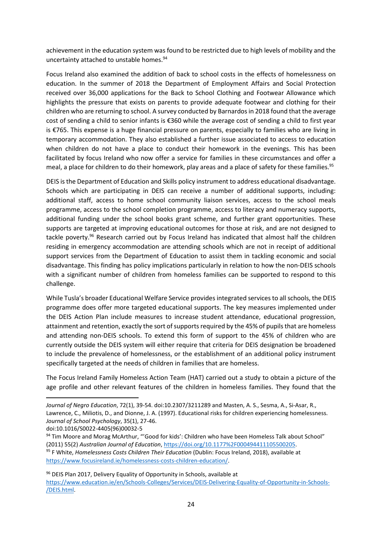achievement in the education system was found to be restricted due to high levels of mobility and the uncertainty attached to unstable homes.<sup>94</sup>

Focus Ireland also examined the addition of back to school costs in the effects of homelessness on education. In the summer of 2018 the Department of Employment Affairs and Social Protection received over 36,000 applications for the Back to School Clothing and Footwear Allowance which highlights the pressure that exists on parents to provide adequate footwear and clothing for their children who are returning to school. A survey conducted by Barnardos in 2018 found that the average cost of sending a child to senior infants is €360 while the average cost of sending a child to first year is €765. This expense is a huge financial pressure on parents, especially to families who are living in temporary accommodation. They also established a further issue associated to access to education when children do not have a place to conduct their homework in the evenings. This has been facilitated by focus Ireland who now offer a service for families in these circumstances and offer a meal, a place for children to do their homework, play areas and a place of safety for these families.<sup>95</sup>

DEIS is the Department of Education and Skills policy instrument to address educational disadvantage. Schools which are participating in DEIS can receive a number of additional supports, including: additional staff, access to home school community liaison services, access to the school meals programme, access to the school completion programme, access to literacy and numeracy supports, additional funding under the school books grant scheme, and further grant opportunities. These supports are targeted at improving educational outcomes for those at risk, and are not designed to tackle poverty.<sup>96</sup> Research carried out by Focus Ireland has indicated that almost half the children residing in emergency accommodation are attending schools which are not in receipt of additional support services from the Department of Education to assist them in tackling economic and social disadvantage. This finding has policy implications particularly in relation to how the non-DEIS schools with a significant number of children from homeless families can be supported to respond to this challenge.

While Tusla's broader Educational Welfare Service provides integrated services to all schools, the DEIS programme does offer more targeted educational supports. The key measures implemented under the DEIS Action Plan include measures to increase student attendance, educational progression, attainment and retention, exactly the sort of supports required by the 45% of pupils that are homeless and attending non-DEIS schools. To extend this form of support to the 45% of children who are currently outside the DEIS system will either require that criteria for DEIS designation be broadened to include the prevalence of homelessness, or the establishment of an additional policy instrument specifically targeted at the needs of children in families that are homeless.

The Focus Ireland Family Homeless Action Team (HAT) carried out a study to obtain a picture of the age profile and other relevant features of the children in homeless families. They found that the

doi:10.1016/S0022-4405(96)00032-5

*Journal of Negro Education*, 72(1), 39-54. doi:10.2307/3211289 and Masten, A. S., Sesma, A., Si-Asar, R., Lawrence, C., Miliotis, D., and Dionne, J. A. (1997). Educational risks for children experiencing homelessness. *Journal of School Psychology*, 35(1), 27-46.

<sup>94</sup> Tim Moore and Morag McArthur, "'Good for kids': Children who have been Homeless Talk about School" (2011) 55(2) *Australian Journal of Education*, https://doi.org/10.1177%2F000494411105500205.

<sup>95</sup> F White, *Homelessness Costs Children Their Education* (Dublin: Focus Ireland, 2018), available at https://www.focusireland.ie/homelessness-costs-children-education/.

<sup>96</sup> DEIS Plan 2017, Delivery Equality of Opportunity in Schools, available at https://www.education.ie/en/Schools-Colleges/Services/DEIS-Delivering-Equality-of-Opportunity-in-Schools- /DEIS.html.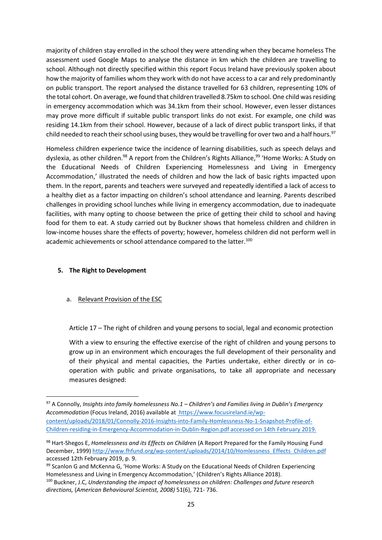majority of children stay enrolled in the school they were attending when they became homeless The assessment used Google Maps to analyse the distance in km which the children are travelling to school. Although not directly specified within this report Focus Ireland have previously spoken about how the majority of families whom they work with do not have access to a car and rely predominantly on public transport. The report analysed the distance travelled for 63 children, representing 10% of the total cohort. On average, we found that children travelled 8.75km to school. One child was residing in emergency accommodation which was 34.1km from their school. However, even lesser distances may prove more difficult if suitable public transport links do not exist. For example, one child was residing 14.1km from their school. However, because of a lack of direct public transport links, if that child needed to reach their school using buses, they would be travelling for over two and a half hours.<sup>97</sup>

Homeless children experience twice the incidence of learning disabilities, such as speech delays and dyslexia, as other children.<sup>98</sup> A report from the Children's Rights Alliance,<sup>99</sup> 'Home Works: A Study on the Educational Needs of Children Experiencing Homelessness and Living in Emergency Accommodation,' illustrated the needs of children and how the lack of basic rights impacted upon them. In the report, parents and teachers were surveyed and repeatedly identified a lack of access to a healthy diet as a factor impacting on children's school attendance and learning. Parents described challenges in providing school lunches while living in emergency accommodation, due to inadequate facilities, with many opting to choose between the price of getting their child to school and having food for them to eat. A study carried out by Buckner shows that homeless children and children in low-income houses share the effects of poverty; however, homeless children did not perform well in academic achievements or school attendance compared to the latter.<sup>100</sup>

# **5. The Right to Development**

<u>.</u>

# a. Relevant Provision of the ESC

Article 17 – The right of children and young persons to social, legal and economic protection

With a view to ensuring the effective exercise of the right of children and young persons to grow up in an environment which encourages the full development of their personality and of their physical and mental capacities, the Parties undertake, either directly or in cooperation with public and private organisations, to take all appropriate and necessary measures designed:

<sup>97</sup> A Connolly, *Insights into family homelessness No.1 – Children's and Families living in Dublin's Emergency Accommodation* (Focus Ireland, 2016) available at https://www.focusireland.ie/wpcontent/uploads/2018/01/Connolly-2016-Insights-into-Family-Homlessness-No-1-Snapshot-Profile-of-Children-residing-in-Emergency-Accommodation-in-Dublin-Region.pdf accessed on 14th February 2019.

<sup>98</sup> Hart-Shegos E, *Homelessness and its Effects on Children* (A Report Prepared for the Family Housing Fund December, 1999) http://www.fhfund.org/wp-content/uploads/2014/10/Homlessness\_Effects\_Children.pdf accessed 12th February 2019, p. 9.

<sup>99</sup> Scanlon G and McKenna G, 'Home Works: A Study on the Educational Needs of Children Experiencing Homelessness and Living in Emergency Accommodation,' (Children's Rights Alliance 2018).

<sup>100</sup> Buckner, J.C, *Understanding the impact of homelessness on children: Challenges and future research directions,* (*American Behavioural Scientist, 2008)* 51(6), 721- 736.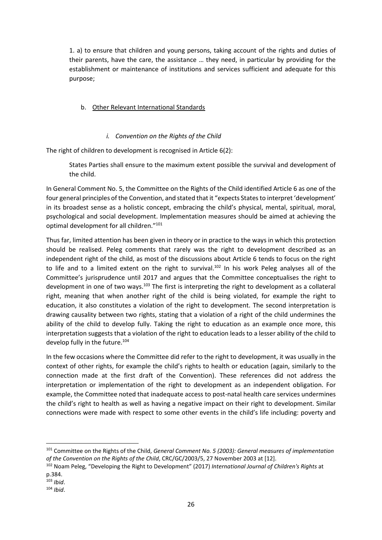1. a) to ensure that children and young persons, taking account of the rights and duties of their parents, have the care, the assistance … they need, in particular by providing for the establishment or maintenance of institutions and services sufficient and adequate for this purpose;

# b. Other Relevant International Standards

# *i. Convention on the Rights of the Child*

The right of children to development is recognised in Article 6(2):

States Parties shall ensure to the maximum extent possible the survival and development of the child.

In General Comment No. 5, the Committee on the Rights of the Child identified Article 6 as one of the four general principles of the Convention, and stated that it "expects States to interpret 'development' in its broadest sense as a holistic concept, embracing the child's physical, mental, spiritual, moral, psychological and social development. Implementation measures should be aimed at achieving the optimal development for all children."<sup>101</sup>

Thus far, limited attention has been given in theory or in practice to the ways in which this protection should be realised. Peleg comments that rarely was the right to development described as an independent right of the child, as most of the discussions about Article 6 tends to focus on the right to life and to a limited extent on the right to survival.<sup>102</sup> In his work Peleg analyses all of the Committee's jurisprudence until 2017 and argues that the Committee conceptualises the right to development in one of two ways.<sup>103</sup> The first is interpreting the right to development as a collateral right, meaning that when another right of the child is being violated, for example the right to education, it also constitutes a violation of the right to development. The second interpretation is drawing causality between two rights, stating that a violation of a right of the child undermines the ability of the child to develop fully. Taking the right to education as an example once more, this interpretation suggests that a violation of the right to education leads to a lesser ability of the child to develop fully in the future.<sup>104</sup>

In the few occasions where the Committee did refer to the right to development, it was usually in the context of other rights, for example the child's rights to health or education (again, similarly to the connection made at the first draft of the Convention). These references did not address the interpretation or implementation of the right to development as an independent obligation. For example, the Committee noted that inadequate access to post-natal health care services undermines the child's right to health as well as having a negative impact on their right to development. Similar connections were made with respect to some other events in the child's life including: poverty and

<sup>101</sup> Committee on the Rights of the Child, *General Comment No. 5 (2003): General measures of implementation of the Convention on the Rights of the Child*, CRC/GC/2003/5, 27 November 2003 at [12].

<sup>102</sup> Noam Peleg, "Developing the Right to Development" (2017) *International Journal of Children's Rights* at p.384.

<sup>103</sup> *Ibid*.

<sup>104</sup> *Ibid*.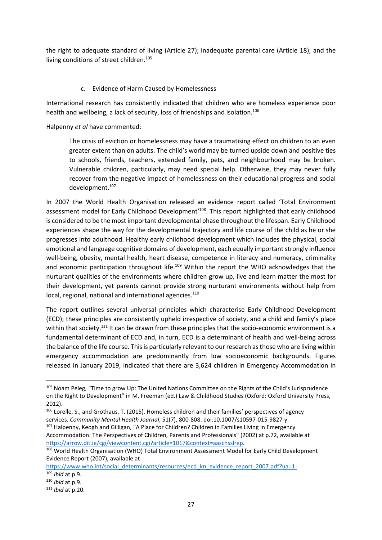the right to adequate standard of living (Article 27); inadequate parental care (Article 18); and the living conditions of street children.<sup>105</sup>

#### c. Evidence of Harm Caused by Homelessness

International research has consistently indicated that children who are homeless experience poor health and wellbeing, a lack of security, loss of friendships and isolation.<sup>106</sup>

Halpenny *et al* have commented:

The crisis of eviction or homelessness may have a traumatising effect on children to an even greater extent than on adults. The child's world may be turned upside down and positive ties to schools, friends, teachers, extended family, pets, and neighbourhood may be broken. Vulnerable children, particularly, may need special help. Otherwise, they may never fully recover from the negative impact of homelessness on their educational progress and social development.<sup>107</sup>

In 2007 the World Health Organisation released an evidence report called 'Total Environment assessment model for Early Childhood Development<sup>'108</sup>. This report highlighted that early childhood is considered to be the most important developmental phase throughout the lifespan. Early Childhood experiences shape the way for the developmental trajectory and life course of the child as he or she progresses into adulthood. Healthy early childhood development which includes the physical, social emotional and language cognitive domains of development, each equally important strongly influence well-being, obesity, mental health, heart disease, competence in literacy and numeracy, criminality and economic participation throughout life.<sup>109</sup> Within the report the WHO acknowledges that the nurturant qualities of the environments where children grow up, live and learn matter the most for their development, yet parents cannot provide strong nurturant environments without help from local, regional, national and international agencies.<sup>110</sup>

The report outlines several universal principles which characterise Early Childhood Development (ECD); these principles are consistently upheld irrespective of society, and a child and family's place within that society.<sup>111</sup> It can be drawn from these principles that the socio-economic environment is a fundamental determinant of ECD and, in turn, ECD is a determinant of health and well-being across the balance of the life course. This is particularly relevant to our research as those who are living within emergency accommodation are predominantly from low socioeconomic backgrounds. Figures released in January 2019, indicated that there are 3,624 children in Emergency Accommodation in

https://www.who.int/social\_determinants/resources/ecd\_kn\_evidence\_report\_2007.pdf?ua=1. <sup>109</sup> *Ibid* at p.9.

<sup>&</sup>lt;sup>105</sup> Noam Peleg, "Time to grow Up: The United Nations Committee on the Rights of the Child's Jurisprudence on the Right to Development" in M. Freeman (ed.) Law & Childhood Studies (Oxford: Oxford University Press, 2012).

<sup>106</sup> Lorelle, S., and Grothaus, T. (2015). Homeless children and their families' perspectives of agency services. *Community Mental Health Journal*, 51(7), 800-808. doi:10.1007/s10597-015-9827-y.

<sup>&</sup>lt;sup>107</sup> Halpenny, Keogh and Gilligan, "A Place for Children? Children in Families Living in Emergency Accommodation: The Perspectives of Children, Parents and Professionals" (2002) at p.72, available at https://arrow.dit.ie/cgi/viewcontent.cgi?article=1017&context=aaschsslrep.

<sup>108</sup> World Health Organisation (WHO) Total Environment Assessment Model for Early Child Development Evidence Report (2007), available at

<sup>110</sup> *Ibid* at p.9.

<sup>111</sup> *Ibid* at p.20.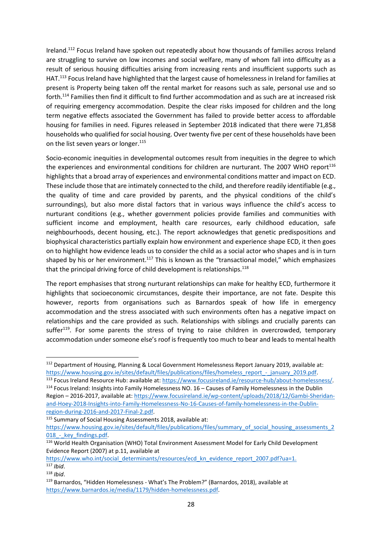Ireland.<sup>112</sup> Focus Ireland have spoken out repeatedly about how thousands of families across Ireland are struggling to survive on low incomes and social welfare, many of whom fall into difficulty as a result of serious housing difficulties arising from increasing rents and insufficient supports such as HAT.<sup>113</sup> Focus Ireland have highlighted that the largest cause of homelessness in Ireland for families at present is Property being taken off the rental market for reasons such as sale, personal use and so forth.<sup>114</sup> Families then find it difficult to find further accommodation and as such are at increased risk of requiring emergency accommodation. Despite the clear risks imposed for children and the long term negative effects associated the Government has failed to provide better access to affordable housing for families in need. Figures released in September 2018 indicated that there were 71,858 households who qualified for social housing. Over twenty five per cent of these households have been on the list seven years or longer.<sup>115</sup>

Socio-economic inequities in developmental outcomes result from inequities in the degree to which the experiences and environmental conditions for children are nurturant. The 2007 WHO report<sup>116</sup> highlights that a broad array of experiences and environmental conditions matter and impact on ECD. These include those that are intimately connected to the child, and therefore readily identifiable (e.g., the quality of time and care provided by parents, and the physical conditions of the child's surroundings), but also more distal factors that in various ways influence the child's access to nurturant conditions (e.g., whether government policies provide families and communities with sufficient income and employment, health care resources, early childhood education, safe neighbourhoods, decent housing, etc.). The report acknowledges that genetic predispositions and biophysical characteristics partially explain how environment and experience shape ECD, it then goes on to highlight how evidence leads us to consider the child as a social actor who shapes and is in turn shaped by his or her environment.<sup>117</sup> This is known as the "transactional model," which emphasizes that the principal driving force of child development is relationships.<sup>118</sup>

The report emphasises that strong nurturant relationships can make for healthy ECD, furthermore it highlights that socioeconomic circumstances, despite their importance, are not fate. Despite this however, reports from organisations such as Barnardos speak of how life in emergency accommodation and the stress associated with such environments often has a negative impact on relationships and the care provided as such. Relationships with siblings and crucially parents can suffer<sup>119</sup>. For some parents the stress of trying to raise children in overcrowded, temporary accommodation under someone else's roof is frequently too much to bear and leads to mental health

<sup>112</sup> Department of Housing, Planning & Local Government Homelessness Report January 2019, available at: https://www.housing.gov.ie/sites/default/files/publications/files/homeless\_report\_-\_january\_2019.pdf. <sup>113</sup> Focus Ireland Resource Hub: available at: https://www.focusireland.ie/resource-hub/about-homelessness/.

<sup>114</sup> Focus Ireland: Insights into Family Homelessness NO. 16 – Causes of Family Homelessness in the Dublin Region – 2016-2017, available at: https://www.focusireland.ie/wp-content/uploads/2018/12/Gambi-Sheridanand-Hoey-2018-Insights-into-Family-Homelessness-No-16-Causes-of-family-homelessness-in-the-Dublinregion-during-2016-and-2017-Final-2.pdf.

<sup>115</sup> Summary of Social Housing Assessments 2018, available at:

https://www.housing.gov.ie/sites/default/files/publications/files/summary\_of\_social\_housing\_assessments\_2 018 - key findings.pdf.

<sup>&</sup>lt;sup>116</sup> World Health Organisation (WHO) Total Environment Assessment Model for Early Child Development Evidence Report (2007) at p.11, available at

https://www.who.int/social\_determinants/resources/ecd\_kn\_evidence\_report\_2007.pdf?ua=1.

<sup>117</sup> *Ibid*.

<sup>118</sup> *Ibid*.

<sup>119</sup> Barnardos, "Hidden Homelessness - What's The Problem?" (Barnardos, 2018), available at https://www.barnardos.ie/media/1179/hidden-homelessness.pdf.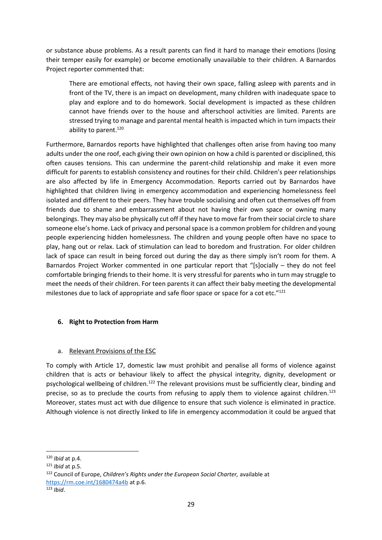or substance abuse problems. As a result parents can find it hard to manage their emotions (losing their temper easily for example) or become emotionally unavailable to their children. A Barnardos Project reporter commented that:

There are emotional effects, not having their own space, falling asleep with parents and in front of the TV, there is an impact on development, many children with inadequate space to play and explore and to do homework. Social development is impacted as these children cannot have friends over to the house and afterschool activities are limited. Parents are stressed trying to manage and parental mental health is impacted which in turn impacts their ability to parent.<sup>120</sup>

Furthermore, Barnardos reports have highlighted that challenges often arise from having too many adults under the one roof, each giving their own opinion on how a child is parented or disciplined, this often causes tensions. This can undermine the parent-child relationship and make it even more difficult for parents to establish consistency and routines for their child. Children's peer relationships are also affected by life in Emergency Accommodation. Reports carried out by Barnardos have highlighted that children living in emergency accommodation and experiencing homelessness feel isolated and different to their peers. They have trouble socialising and often cut themselves off from friends due to shame and embarrassment about not having their own space or owning many belongings. They may also be physically cut off if they have to move far from their social circle to share someone else's home. Lack of privacy and personal space is a common problem for children and young people experiencing hidden homelessness. The children and young people often have no space to play, hang out or relax. Lack of stimulation can lead to boredom and frustration. For older children lack of space can result in being forced out during the day as there simply isn't room for them. A Barnardos Project Worker commented in one particular report that "[s]ocially – they do not feel comfortable bringing friends to their home. It is very stressful for parents who in turn may struggle to meet the needs of their children. For teen parents it can affect their baby meeting the developmental milestones due to lack of appropriate and safe floor space or space for a cot etc." $121$ 

# **6. Right to Protection from Harm**

# a. Relevant Provisions of the ESC

To comply with Article 17, domestic law must prohibit and penalise all forms of violence against children that is acts or behaviour likely to affect the physical integrity, dignity, development or psychological wellbeing of children.<sup>122</sup> The relevant provisions must be sufficiently clear, binding and precise, so as to preclude the courts from refusing to apply them to violence against children.<sup>123</sup> Moreover, states must act with due diligence to ensure that such violence is eliminated in practice. Although violence is not directly linked to life in emergency accommodation it could be argued that

<sup>120</sup> *Ibid* at p.4.

<sup>121</sup> *Ibid* at p.5.

<sup>&</sup>lt;sup>122</sup> Council of Europe, *Children's Rights under the European Social Charter*, available at https://rm.coe.int/1680474a4b at p.6.

<sup>123</sup> *Ibid*.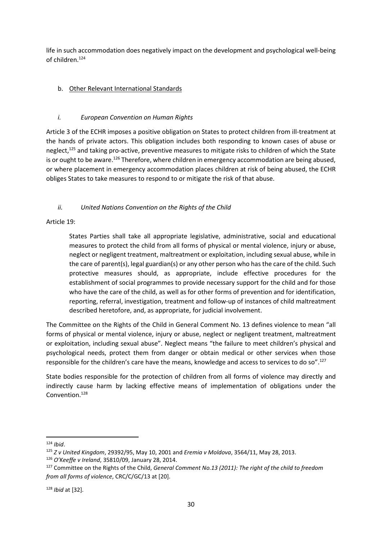life in such accommodation does negatively impact on the development and psychological well-being of children.<sup>124</sup>

# b. Other Relevant International Standards

# *i. European Convention on Human Rights*

Article 3 of the ECHR imposes a positive obligation on States to protect children from ill-treatment at the hands of private actors. This obligation includes both responding to known cases of abuse or neglect,<sup>125</sup> and taking pro-active, preventive measures to mitigate risks to children of which the State is or ought to be aware.<sup>126</sup> Therefore, where children in emergency accommodation are being abused, or where placement in emergency accommodation places children at risk of being abused, the ECHR obliges States to take measures to respond to or mitigate the risk of that abuse.

# *ii. United Nations Convention on the Rights of the Child*

Article 19:

States Parties shall take all appropriate legislative, administrative, social and educational measures to protect the child from all forms of physical or mental violence, injury or abuse, neglect or negligent treatment, maltreatment or exploitation, including sexual abuse, while in the care of parent(s), legal guardian(s) or any other person who has the care of the child. Such protective measures should, as appropriate, include effective procedures for the establishment of social programmes to provide necessary support for the child and for those who have the care of the child, as well as for other forms of prevention and for identification, reporting, referral, investigation, treatment and follow-up of instances of child maltreatment described heretofore, and, as appropriate, for judicial involvement.

The Committee on the Rights of the Child in General Comment No. 13 defines violence to mean "all forms of physical or mental violence, injury or abuse, neglect or negligent treatment, maltreatment or exploitation, including sexual abuse". Neglect means "the failure to meet children's physical and psychological needs, protect them from danger or obtain medical or other services when those responsible for the children's care have the means, knowledge and access to services to do so".<sup>127</sup>

State bodies responsible for the protection of children from all forms of violence may directly and indirectly cause harm by lacking effective means of implementation of obligations under the Convention.<sup>128</sup>

<sup>124</sup> *Ibid*.

<sup>125</sup> *Z v United Kingdom*, 29392/95, May 10, 2001 and *Eremia v Moldova*, 3564/11, May 28, 2013.

<sup>126</sup> *O'Keeffe v Ireland*, 35810/09, January 28, 2014.

<sup>127</sup> Committee on the Rights of the Child, *General Comment No.13 (2011): The right of the child to freedom from all forms of violence*, CRC/C/GC/13 at [20].

<sup>128</sup> *Ibid* at [32].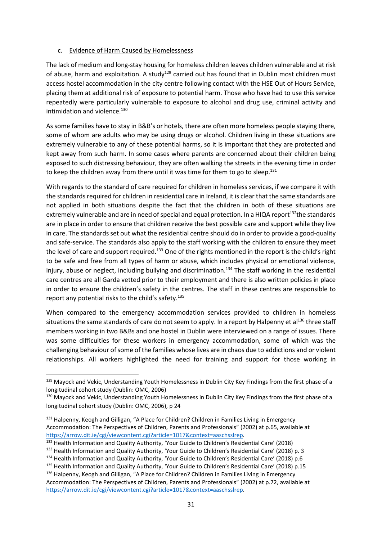#### c. Evidence of Harm Caused by Homelessness

The lack of medium and long-stay housing for homeless children leaves children vulnerable and at risk of abuse, harm and exploitation. A study<sup>129</sup> carried out has found that in Dublin most children must access hostel accommodation in the city centre following contact with the HSE Out of Hours Service, placing them at additional risk of exposure to potential harm. Those who have had to use this service repeatedly were particularly vulnerable to exposure to alcohol and drug use, criminal activity and intimidation and violence.<sup>130</sup>

As some families have to stay in B&B's or hotels, there are often more homeless people staying there, some of whom are adults who may be using drugs or alcohol. Children living in these situations are extremely vulnerable to any of these potential harms, so it is important that they are protected and kept away from such harm. In some cases where parents are concerned about their children being exposed to such distressing behaviour, they are often walking the streets in the evening time in order to keep the children away from there until it was time for them to go to sleep.<sup>131</sup>

With regards to the standard of care required for children in homeless services, if we compare it with the standards required for children in residential care in Ireland, it is clear that the same standards are not applied in both situations despite the fact that the children in both of these situations are extremely vulnerable and are in need of special and equal protection. In a HIQA report<sup>132</sup>the standards are in place in order to ensure that children receive the best possible care and support while they live in care. The standards set out what the residential centre should do in order to provide a good-quality and safe-service. The standards also apply to the staff working with the children to ensure they meet the level of care and support required.<sup>133</sup> One of the rights mentioned in the report is the child's right to be safe and free from all types of harm or abuse, which includes physical or emotional violence, injury, abuse or neglect, including bullying and discrimination.<sup>134</sup> The staff working in the residential care centres are all Garda vetted prior to their employment and there is also written policies in place in order to ensure the children's safety in the centres. The staff in these centres are responsible to report any potential risks to the child's safety.<sup>135</sup>

When compared to the emergency accommodation services provided to children in homeless situations the same standards of care do not seem to apply. In a report by Halpenny et al<sup>136</sup> three staff members working in two B&Bs and one hostel in Dublin were interviewed on a range of issues. There was some difficulties for these workers in emergency accommodation, some of which was the challenging behaviour of some of the families whose lives are in chaos due to addictions and or violent relationships. All workers highlighted the need for training and support for those working in

<sup>&</sup>lt;sup>129</sup> Mayock and Vekic, Understanding Youth Homelessness in Dublin City Key Findings from the first phase of a longitudinal cohort study (Dublin: OMC, 2006)

<sup>&</sup>lt;sup>130</sup> Mayock and Vekic, Understanding Youth Homelessness in Dublin City Key Findings from the first phase of a longitudinal cohort study (Dublin: OMC, 2006), p 24

<sup>131</sup> Halpenny, Keogh and Gilligan, "A Place for Children? Children in Families Living in Emergency Accommodation: The Perspectives of Children, Parents and Professionals" (2002) at p.65, available at https://arrow.dit.ie/cgi/viewcontent.cgi?article=1017&context=aaschsslrep.

<sup>132</sup> Health Information and Quality Authority, 'Your Guide to Children's Residential Care' (2018)

<sup>133</sup> Health Information and Quality Authority, 'Your Guide to Children's Residential Care' (2018) p. 3

<sup>134</sup> Health Information and Quality Authority, 'Your Guide to Children's Residential Care' (2018) p.6

<sup>135</sup> Health Information and Quality Authority, 'Your Guide to Children's Residential Care' (2018) p.15

<sup>136</sup> Halpenny, Keogh and Gilligan, "A Place for Children? Children in Families Living in Emergency Accommodation: The Perspectives of Children, Parents and Professionals" (2002) at p.72, available at https://arrow.dit.ie/cgi/viewcontent.cgi?article=1017&context=aaschsslrep.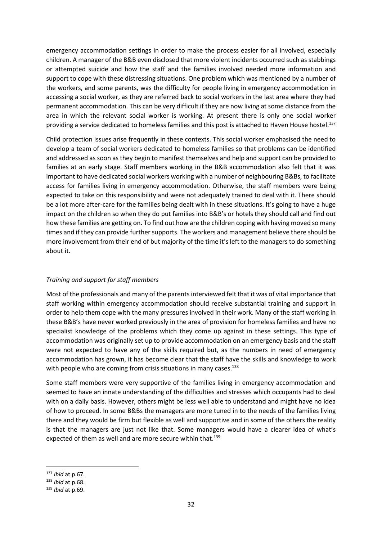emergency accommodation settings in order to make the process easier for all involved, especially children. A manager of the B&B even disclosed that more violent incidents occurred such as stabbings or attempted suicide and how the staff and the families involved needed more information and support to cope with these distressing situations. One problem which was mentioned by a number of the workers, and some parents, was the difficulty for people living in emergency accommodation in accessing a social worker, as they are referred back to social workers in the last area where they had permanent accommodation. This can be very difficult if they are now living at some distance from the area in which the relevant social worker is working. At present there is only one social worker providing a service dedicated to homeless families and this post is attached to Haven House hostel.<sup>137</sup>

Child protection issues arise frequently in these contexts. This social worker emphasised the need to develop a team of social workers dedicated to homeless families so that problems can be identified and addressed as soon as they begin to manifest themselves and help and support can be provided to families at an early stage. Staff members working in the B&B accommodation also felt that it was important to have dedicated social workers working with a number of neighbouring B&Bs, to facilitate access for families living in emergency accommodation. Otherwise, the staff members were being expected to take on this responsibility and were not adequately trained to deal with it. There should be a lot more after-care for the families being dealt with in these situations. It's going to have a huge impact on the children so when they do put families into B&B's or hotels they should call and find out how these families are getting on. To find out how are the children coping with having moved so many times and if they can provide further supports. The workers and management believe there should be more involvement from their end of but majority of the time it's left to the managers to do something about it.

# *Training and support for staff members*

Most of the professionals and many of the parents interviewed felt that it was of vital importance that staff working within emergency accommodation should receive substantial training and support in order to help them cope with the many pressures involved in their work. Many of the staff working in these B&B's have never worked previously in the area of provision for homeless families and have no specialist knowledge of the problems which they come up against in these settings. This type of accommodation was originally set up to provide accommodation on an emergency basis and the staff were not expected to have any of the skills required but, as the numbers in need of emergency accommodation has grown, it has become clear that the staff have the skills and knowledge to work with people who are coming from crisis situations in many cases.<sup>138</sup>

Some staff members were very supportive of the families living in emergency accommodation and seemed to have an innate understanding of the difficulties and stresses which occupants had to deal with on a daily basis. However, others might be less well able to understand and might have no idea of how to proceed. In some B&Bs the managers are more tuned in to the needs of the families living there and they would be firm but flexible as well and supportive and in some of the others the reality is that the managers are just not like that. Some managers would have a clearer idea of what's expected of them as well and are more secure within that.<sup>139</sup>

<sup>137</sup> *Ibid* at p.67.

<sup>138</sup> *Ibid* at p.68.

<sup>139</sup> *Ibid* at p.69.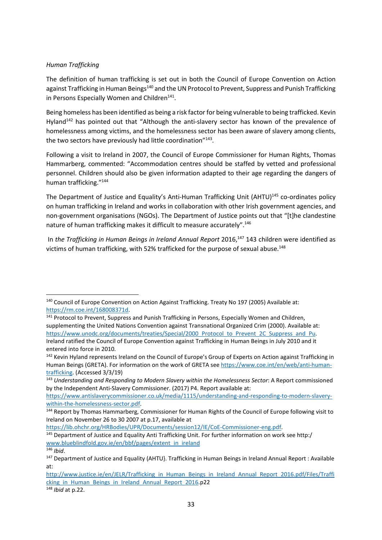# *Human Trafficking*

The definition of human trafficking is set out in both the Council of Europe Convention on Action against Trafficking in Human Beings<sup>140</sup> and the UN Protocol to Prevent, Suppress and Punish Trafficking in Persons Especially Women and Children<sup>141</sup>.

Being homeless has been identified as being a risk factor for being vulnerable to being trafficked. Kevin Hyland<sup>142</sup> has pointed out that "Although the anti-slavery sector has known of the prevalence of homelessness among victims, and the homelessness sector has been aware of slavery among clients, the two sectors have previously had little coordination"<sup>143</sup>.

Following a visit to Ireland in 2007, the Council of Europe Commissioner for Human Rights, Thomas Hammarberg, commented: "Accommodation centres should be staffed by vetted and professional personnel. Children should also be given information adapted to their age regarding the dangers of human trafficking."<sup>144</sup>

The Department of Justice and Equality's Anti-Human Trafficking Unit (AHTU)<sup>145</sup> co-ordinates policy on human trafficking in Ireland and works in collaboration with other Irish government agencies, and non-government organisations (NGOs). The Department of Justice points out that "[t]he clandestine nature of human trafficking makes it difficult to measure accurately".<sup>146</sup>

In *the Trafficking in Human Beings in Ireland Annual Report* 2016,<sup>147</sup> 143 children were identified as victims of human trafficking, with 52% trafficked for the purpose of sexual abuse.<sup>148</sup>

<sup>143</sup> *Understanding and Responding to Modern Slavery within the Homelessness Sector*: A Report commissioned by the Independent Anti-Slavery Commissioner. (2017) P4. Report available at:

<sup>140</sup> Council of Europe Convention on Action Against Trafficking. Treaty No 197 (2005) Available at: https://rm.coe.int/168008371d.

<sup>&</sup>lt;sup>141</sup> Protocol to Prevent, Suppress and Punish Trafficking in Persons, Especially Women and Children, supplementing the United Nations Convention against Transnational Organized Crim (2000). Available at: https://www.unodc.org/documents/treaties/Special/2000\_Protocol\_to\_Prevent\_2C\_Suppress\_and\_Pu. Ireland ratified the Council of Europe Convention against Trafficking in Human Beings in July 2010 and it entered into force in 2010.

<sup>&</sup>lt;sup>142</sup> Kevin Hyland represents Ireland on the Council of Europe's Group of Experts on Action against Trafficking in Human Beings (GRETA). For information on the work of GRETA see https://www.coe.int/en/web/anti-humantrafficking. (Accessed 3/3/19)

https://www.antislaverycommissioner.co.uk/media/1115/understanding-and-responding-to-modern-slaverywithin-the-homelessness-sector.pdf.

<sup>144</sup> Report by Thomas Hammarberg, Commissioner for Human Rights of the Council of Europe following visit to Ireland on November 26 to 30 2007 at p.17, available at

https://lib.ohchr.org/HRBodies/UPR/Documents/session12/IE/CoE-Commissioner-eng.pdf.

<sup>145</sup> Department of Justice and Equality Anti Trafficking Unit. For further information on work see http:/ www.blueblindfold.gov.ie/en/bbf/pages/extent\_in\_ireland

<sup>146</sup> *Ibid*.

<sup>147</sup> Department of Justice and Equality (AHTU}. Trafficking in Human Beings in Ireland Annual Report : Available at:

http://www.justice.ie/en/JELR/Trafficking\_in\_Human\_Beings\_in\_Ireland\_Annual\_Report\_2016.pdf/Files/Traffi cking in Human Beings in Ireland Annual Report 2016.p22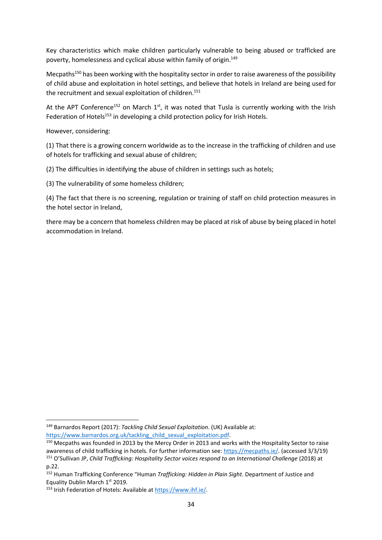Key characteristics which make children particularly vulnerable to being abused or trafficked are poverty, homelessness and cyclical abuse within family of origin.<sup>149</sup>

Mecpaths<sup>150</sup> has been working with the hospitality sector in order to raise awareness of the possibility of child abuse and exploitation in hotel settings, and believe that hotels in Ireland are being used for the recruitment and sexual exploitation of children.<sup>151</sup>

At the APT Conference<sup>152</sup> on March  $1<sup>st</sup>$ , it was noted that Tusla is currently working with the Irish Federation of Hotels<sup>153</sup> in developing a child protection policy for Irish Hotels.

However, considering:

<u>.</u>

(1) That there is a growing concern worldwide as to the increase in the trafficking of children and use of hotels for trafficking and sexual abuse of children;

(2) The difficulties in identifying the abuse of children in settings such as hotels;

(3) The vulnerability of some homeless children;

(4) The fact that there is no screening, regulation or training of staff on child protection measures in the hotel sector in Ireland,

there may be a concern that homeless children may be placed at risk of abuse by being placed in hotel accommodation in Ireland.

<sup>149</sup> Barnardos Report (2017): *Tackling Child Sexual Exploitation*. (UK) Available at: https://www.barnardos.org.uk/tackling\_child\_sexual\_exploitation.pdf.

<sup>&</sup>lt;sup>150</sup> Mecpaths was founded in 2013 by the Mercy Order in 2013 and works with the Hospitality Sector to raise awareness of child trafficking in hotels. For further information see: https://mecpaths.ie/. (accessed 3/3/19) <sup>151</sup> O'Sullivan JP, *Child Trafficking: Hospitality Sector voices respond to an International Challenge* (2018) at p.22.

<sup>152</sup> Human Trafficking Conference "Human *Trafficking: Hidden in Plain Sight*. Department of Justice and Equality Dublin March 1st 2019.

<sup>153</sup> Irish Federation of Hotels: Available at https://www.ihf.ie/.